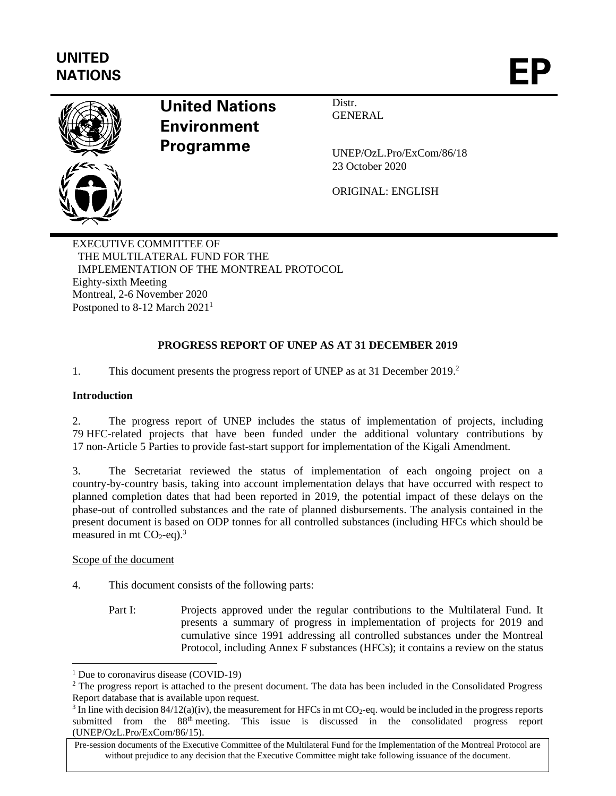# **UNITED** UNITED<br>NATIONS



## **United Nations Environment Programme**

Distr. GENERAL

UNEP/OzL.Pro/ExCom/86/18 23 October 2020

ORIGINAL: ENGLISH

EXECUTIVE COMMITTEE OF THE MULTILATERAL FUND FOR THE IMPLEMENTATION OF THE MONTREAL PROTOCOL Eighty-sixth Meeting Montreal, 2-6 November 2020 Postponed to 8-12 March 2021<sup>1</sup>

## **PROGRESS REPORT OF UNEP AS AT 31 DECEMBER 2019**

1. This document presents the progress report of UNEP as at 31 December 2019. 2

## **Introduction**

2. The progress report of UNEP includes the status of implementation of projects, including 79 HFC-related projects that have been funded under the additional voluntary contributions by 17 non-Article 5 Parties to provide fast-start support for implementation of the Kigali Amendment.

3. The Secretariat reviewed the status of implementation of each ongoing project on a country-by-country basis, taking into account implementation delays that have occurred with respect to planned completion dates that had been reported in 2019, the potential impact of these delays on the phase-out of controlled substances and the rate of planned disbursements. The analysis contained in the present document is based on ODP tonnes for all controlled substances (including HFCs which should be measured in mt  $CO<sub>2</sub>$ -eq).<sup>3</sup>

Scope of the document

4. This document consists of the following parts:

Part I: Projects approved under the regular contributions to the Multilateral Fund. It presents a summary of progress in implementation of projects for 2019 and cumulative since 1991 addressing all controlled substances under the Montreal Protocol, including Annex F substances (HFCs); it contains a review on the status

<sup>&</sup>lt;sup>1</sup> Due to coronavirus disease (COVID-19)

<sup>&</sup>lt;sup>2</sup> The progress report is attached to the present document. The data has been included in the Consolidated Progress Report database that is available upon request.

<sup>&</sup>lt;sup>3</sup> In line with decision 84/12(a)(iv), the measurement for HFCs in mt CO<sub>2</sub>-eq. would be included in the progress reports submitted from the 88th meeting. This issue is discussed in the consolidated progress report (UNEP/OzL.Pro/ExCom/86/15).

Pre-session documents of the Executive Committee of the Multilateral Fund for the Implementation of the Montreal Protocol are without prejudice to any decision that the Executive Committee might take following issuance of the document.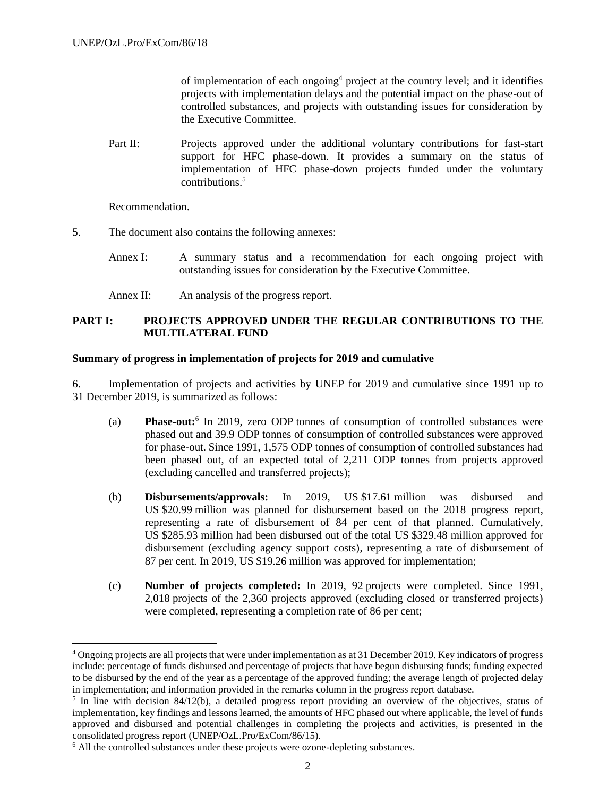of implementation of each ongoing<sup>4</sup> project at the country level; and it identifies projects with implementation delays and the potential impact on the phase-out of controlled substances, and projects with outstanding issues for consideration by the Executive Committee.

Part II: Projects approved under the additional voluntary contributions for fast-start support for HFC phase-down. It provides a summary on the status of implementation of HFC phase-down projects funded under the voluntary contributions.<sup>5</sup>

Recommendation.

- 5. The document also contains the following annexes:
	- Annex I: A summary status and a recommendation for each ongoing project with outstanding issues for consideration by the Executive Committee.
	- Annex II: An analysis of the progress report.

## **PART I: PROJECTS APPROVED UNDER THE REGULAR CONTRIBUTIONS TO THE MULTILATERAL FUND**

#### **Summary of progress in implementation of projects for 2019 and cumulative**

6. Implementation of projects and activities by UNEP for 2019 and cumulative since 1991 up to 31 December 2019, is summarized as follows:

- (a) **Phase-out:**<sup>6</sup> In 2019, zero ODP tonnes of consumption of controlled substances were phased out and 39.9 ODP tonnes of consumption of controlled substances were approved for phase-out. Since 1991, 1,575 ODP tonnes of consumption of controlled substances had been phased out, of an expected total of 2,211 ODP tonnes from projects approved (excluding cancelled and transferred projects);
- (b) **Disbursements/approvals:** In 2019, US \$17.61 million was disbursed and US \$20.99 million was planned for disbursement based on the 2018 progress report, representing a rate of disbursement of 84 per cent of that planned. Cumulatively, US \$285.93 million had been disbursed out of the total US \$329.48 million approved for disbursement (excluding agency support costs), representing a rate of disbursement of 87 per cent. In 2019, US \$19.26 million was approved for implementation;
- (c) **Number of projects completed:** In 2019, 92 projects were completed. Since 1991, 2,018 projects of the 2,360 projects approved (excluding closed or transferred projects) were completed, representing a completion rate of 86 per cent;

<sup>4</sup> Ongoing projects are all projects that were under implementation as at 31 December 2019. Key indicators of progress include: percentage of funds disbursed and percentage of projects that have begun disbursing funds; funding expected to be disbursed by the end of the year as a percentage of the approved funding; the average length of projected delay in implementation; and information provided in the remarks column in the progress report database.

<sup>&</sup>lt;sup>5</sup> In line with decision 84/12(b), a detailed progress report providing an overview of the objectives, status of implementation, key findings and lessons learned, the amounts of HFC phased out where applicable, the level of funds approved and disbursed and potential challenges in completing the projects and activities, is presented in the consolidated progress report (UNEP/OzL.Pro/ExCom/86/15).

<sup>6</sup> All the controlled substances under these projects were ozone-depleting substances.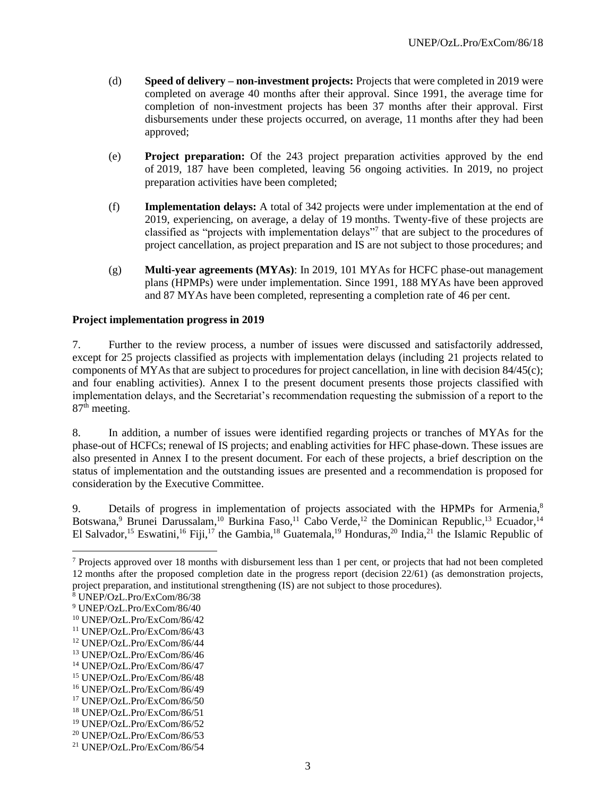- (d) **Speed of delivery – non-investment projects:** Projects that were completed in 2019 were completed on average 40 months after their approval. Since 1991, the average time for completion of non-investment projects has been 37 months after their approval. First disbursements under these projects occurred, on average, 11 months after they had been approved;
- (e) **Project preparation:** Of the 243 project preparation activities approved by the end of 2019, 187 have been completed, leaving 56 ongoing activities. In 2019, no project preparation activities have been completed;
- (f) **Implementation delays:** A total of 342 projects were under implementation at the end of 2019, experiencing, on average, a delay of 19 months. Twenty-five of these projects are classified as "projects with implementation delays"<sup>7</sup> that are subject to the procedures of project cancellation, as project preparation and IS are not subject to those procedures; and
- (g) **Multi-year agreements (MYAs)**: In 2019, 101 MYAs for HCFC phase-out management plans (HPMPs) were under implementation. Since 1991, 188 MYAs have been approved and 87 MYAs have been completed, representing a completion rate of 46 per cent.

## **Project implementation progress in 2019**

7. Further to the review process, a number of issues were discussed and satisfactorily addressed, except for 25 projects classified as projects with implementation delays (including 21 projects related to components of MYAs that are subject to procedures for project cancellation, in line with decision 84/45(c); and four enabling activities). Annex I to the present document presents those projects classified with implementation delays, and the Secretariat's recommendation requesting the submission of a report to the 87<sup>th</sup> meeting.

8. In addition, a number of issues were identified regarding projects or tranches of MYAs for the phase-out of HCFCs; renewal of IS projects; and enabling activities for HFC phase-down. These issues are also presented in Annex I to the present document. For each of these projects, a brief description on the status of implementation and the outstanding issues are presented and a recommendation is proposed for consideration by the Executive Committee.

9. Details of progress in implementation of projects associated with the HPMPs for Armenia,<sup>8</sup> Botswana,<sup>9</sup> Brunei Darussalam,<sup>10</sup> Burkina Faso,<sup>11</sup> Cabo Verde,<sup>12</sup> the Dominican Republic,<sup>13</sup> Ecuador,<sup>14</sup> El Salvador,<sup>15</sup> Eswatini,<sup>16</sup> Fiji,<sup>17</sup> the Gambia,<sup>18</sup> Guatemala,<sup>19</sup> Honduras,<sup>20</sup> India,<sup>21</sup> the Islamic Republic of

 $7$  Projects approved over 18 months with disbursement less than 1 per cent, or projects that had not been completed 12 months after the proposed completion date in the progress report (decision 22/61) (as demonstration projects, project preparation, and institutional strengthening (IS) are not subject to those procedures).

<sup>8</sup> UNEP/OzL.Pro/ExCom/86/38

<sup>9</sup> UNEP/OzL.Pro/ExCom/86/40

<sup>10</sup> UNEP/OzL.Pro/ExCom/86/42

<sup>11</sup> UNEP/OzL.Pro/ExCom/86/43

<sup>12</sup> UNEP/OzL.Pro/ExCom/86/44

<sup>13</sup> UNEP/OzL.Pro/ExCom/86/46

<sup>14</sup> UNEP/OzL.Pro/ExCom/86/47

<sup>15</sup> UNEP/OzL.Pro/ExCom/86/48

<sup>16</sup> UNEP/OzL.Pro/ExCom/86/49

<sup>17</sup> UNEP/OzL.Pro/ExCom/86/50

<sup>18</sup> UNEP/OzL.Pro/ExCom/86/51

<sup>19</sup> UNEP/OzL.Pro/ExCom/86/52

<sup>20</sup> UNEP/OzL.Pro/ExCom/86/53

<sup>21</sup> UNEP/OzL.Pro/ExCom/86/54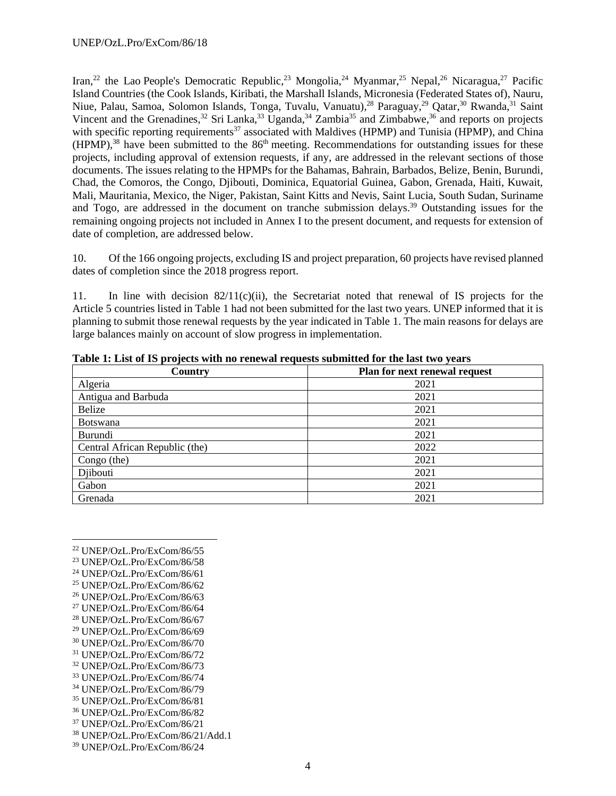Iran,<sup>22</sup> the Lao People's Democratic Republic,<sup>23</sup> Mongolia,<sup>24</sup> Myanmar,<sup>25</sup> Nepal,<sup>26</sup> Nicaragua,<sup>27</sup> Pacific Island Countries (the Cook Islands, Kiribati, the Marshall Islands, Micronesia (Federated States of), Nauru, Niue, Palau, Samoa, Solomon Islands, Tonga, Tuvalu, Vanuatu),<sup>28</sup> Paraguay,<sup>29</sup> Qatar,<sup>30</sup> Rwanda,<sup>31</sup> Saint Vincent and the Grenadines,<sup>32</sup> Sri Lanka,<sup>33</sup> Uganda,<sup>34</sup> Zambia<sup>35</sup> and Zimbabwe,<sup>36</sup> and reports on projects with specific reporting requirements<sup>37</sup> associated with Maldives (HPMP) and Tunisia (HPMP), and China (HPMP),<sup>38</sup> have been submitted to the 86<sup>th</sup> meeting. Recommendations for outstanding issues for these projects, including approval of extension requests, if any, are addressed in the relevant sections of those documents. The issues relating to the HPMPs for the Bahamas, Bahrain, Barbados, Belize, Benin, Burundi, Chad, the Comoros, the Congo, Djibouti, Dominica, Equatorial Guinea, Gabon, Grenada, Haiti, Kuwait, Mali, Mauritania, Mexico, the Niger, Pakistan, Saint Kitts and Nevis, Saint Lucia, South Sudan, Suriname and Togo, are addressed in the document on tranche submission delays.<sup>39</sup> Outstanding issues for the remaining ongoing projects not included in Annex I to the present document, and requests for extension of date of completion, are addressed below.

10. Of the 166 ongoing projects, excluding IS and project preparation, 60 projects have revised planned dates of completion since the 2018 progress report.

11. In line with decision  $82/11(c)(ii)$ , the Secretariat noted that renewal of IS projects for the Article 5 countries listed in Table 1 had not been submitted for the last two years. UNEP informed that it is planning to submit those renewal requests by the year indicated in Table 1. The main reasons for delays are large balances mainly on account of slow progress in implementation.

| Country                        | Plan for next renewal request |
|--------------------------------|-------------------------------|
| Algeria                        | 2021                          |
| Antigua and Barbuda            | 2021                          |
| <b>Belize</b>                  | 2021                          |
| <b>Botswana</b>                | 2021                          |
| Burundi                        | 2021                          |
| Central African Republic (the) | 2022                          |
| Congo (the)                    | 2021                          |
| Djibouti                       | 2021                          |
| Gabon                          | 2021                          |
| Grenada                        | 2021                          |

**Table 1: List of IS projects with no renewal requests submitted for the last two years** 

- <sup>27</sup> UNEP/OzL.Pro/ExCom/86/64
- <sup>28</sup> UNEP/OzL.Pro/ExCom/86/67
- <sup>29</sup> UNEP/OzL.Pro/ExCom/86/69
- <sup>30</sup> UNEP/OzL.Pro/ExCom/86/70
- <sup>31</sup> UNEP/OzL.Pro/ExCom/86/72
- <sup>32</sup> UNEP/OzL.Pro/ExCom/86/73
- <sup>33</sup> UNEP/OzL.Pro/ExCom/86/74
- <sup>34</sup> UNEP/OzL.Pro/ExCom/86/79
- <sup>35</sup> UNEP/OzL.Pro/ExCom/86/81
- <sup>36</sup> UNEP/OzL.Pro/ExCom/86/82
- <sup>37</sup> UNEP/OzL.Pro/ExCom/86/21
- <sup>38</sup> UNEP/OzL.Pro/ExCom/86/21/Add.1
- <sup>39</sup> UNEP/OzL.Pro/ExCom/86/24

<sup>22</sup> UNEP/OzL.Pro/ExCom/86/55

<sup>23</sup> UNEP/OzL.Pro/ExCom/86/58

<sup>24</sup> UNEP/OzL.Pro/ExCom/86/61

<sup>25</sup> UNEP/OzL.Pro/ExCom/86/62

<sup>26</sup> UNEP/OzL.Pro/ExCom/86/63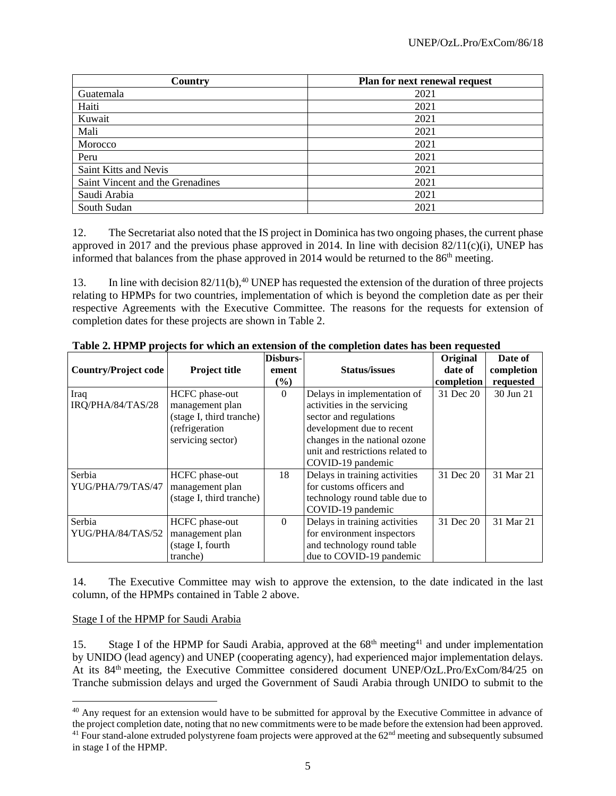| Country                          | Plan for next renewal request |
|----------------------------------|-------------------------------|
| Guatemala                        | 2021                          |
| Haiti                            | 2021                          |
| Kuwait                           | 2021                          |
| Mali                             | 2021                          |
| Morocco                          | 2021                          |
| Peru                             | 2021                          |
| Saint Kitts and Nevis            | 2021                          |
| Saint Vincent and the Grenadines | 2021                          |
| Saudi Arabia                     | 2021                          |
| South Sudan                      | 2021                          |

12. The Secretariat also noted that the IS project in Dominica has two ongoing phases, the current phase approved in 2017 and the previous phase approved in 2014. In line with decision  $82/11(c)(i)$ , UNEP has informed that balances from the phase approved in 2014 would be returned to the  $86<sup>th</sup>$  meeting.

13. In line with decision  $82/11(b)$ ,<sup>40</sup> UNEP has requested the extension of the duration of three projects relating to HPMPs for two countries, implementation of which is beyond the completion date as per their respective Agreements with the Executive Committee. The reasons for the requests for extension of completion dates for these projects are shown in Table 2.

|                             |                          | Disburs- |                                  | Original              | Date of                 |
|-----------------------------|--------------------------|----------|----------------------------------|-----------------------|-------------------------|
| <b>Country/Project code</b> | <b>Project title</b>     | ement    | <b>Status/issues</b>             | date of<br>completion | completion<br>requested |
|                             |                          | $(\%)$   |                                  |                       |                         |
| Iraq                        | HCFC phase-out           | $\Omega$ | Delays in implementation of      | 31 Dec 20             | 30 Jun 21               |
| IRQ/PHA/84/TAS/28           | management plan          |          | activities in the servicing      |                       |                         |
|                             | (stage I, third tranche) |          | sector and regulations           |                       |                         |
|                             | (refrigeration           |          | development due to recent        |                       |                         |
|                             | servicing sector)        |          | changes in the national ozone    |                       |                         |
|                             |                          |          | unit and restrictions related to |                       |                         |
|                             |                          |          | COVID-19 pandemic                |                       |                         |
| Serbia                      | HCFC phase-out           | 18       | Delays in training activities    | 31 Dec 20             | 31 Mar 21               |
| YUG/PHA/79/TAS/47           | management plan          |          | for customs officers and         |                       |                         |
|                             | (stage I, third tranche) |          | technology round table due to    |                       |                         |
|                             |                          |          | COVID-19 pandemic                |                       |                         |
| Serbia                      | HCFC phase-out           | $\theta$ | Delays in training activities    | 31 Dec 20             | 31 Mar 21               |
| YUG/PHA/84/TAS/52           | management plan          |          | for environment inspectors       |                       |                         |
|                             | (stage I, fourth         |          | and technology round table       |                       |                         |
|                             | tranche)                 |          | due to COVID-19 pandemic         |                       |                         |

**Table 2. HPMP projects for which an extension of the completion dates has been requested**

14. The Executive Committee may wish to approve the extension, to the date indicated in the last column, of the HPMPs contained in Table 2 above.

## Stage I of the HPMP for Saudi Arabia

15. Stage I of the HPMP for Saudi Arabia, approved at the 68<sup>th</sup> meeting<sup>41</sup> and under implementation by UNIDO (lead agency) and UNEP (cooperating agency), had experienced major implementation delays. At its 84<sup>th</sup> meeting, the Executive Committee considered document UNEP/OzL.Pro/ExCom/84/25 on Tranche submission delays and urged the Government of Saudi Arabia through UNIDO to submit to the

<sup>&</sup>lt;sup>40</sup> Any request for an extension would have to be submitted for approval by the Executive Committee in advance of the project completion date, noting that no new commitments were to be made before the extension had been approved.  $41$  Four stand-alone extruded polystyrene foam projects were approved at the  $62<sup>nd</sup>$  meeting and subsequently subsumed in stage I of the HPMP.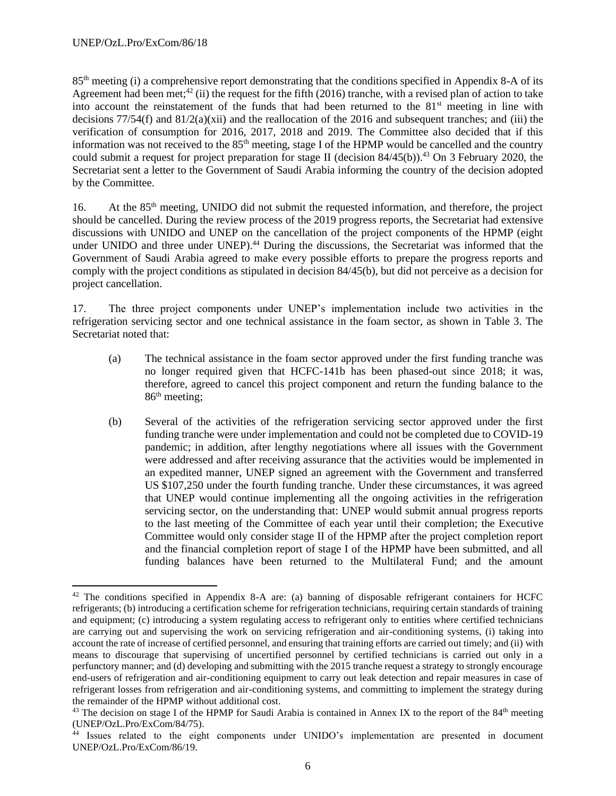85th meeting (i) a comprehensive report demonstrating that the conditions specified in Appendix 8-A of its Agreement had been met;<sup>42</sup> (ii) the request for the fifth (2016) tranche, with a revised plan of action to take into account the reinstatement of the funds that had been returned to the 81<sup>st</sup> meeting in line with decisions  $77/54(f)$  and  $81/2(a)(xii)$  and the reallocation of the 2016 and subsequent tranches; and (iii) the verification of consumption for 2016, 2017, 2018 and 2019. The Committee also decided that if this information was not received to the 85<sup>th</sup> meeting, stage I of the HPMP would be cancelled and the country could submit a request for project preparation for stage II (decision  $84/45(b)$ ).<sup>43</sup> On 3 February 2020, the Secretariat sent a letter to the Government of Saudi Arabia informing the country of the decision adopted by the Committee.

16. At the 85<sup>th</sup> meeting, UNIDO did not submit the requested information, and therefore, the project should be cancelled. During the review process of the 2019 progress reports, the Secretariat had extensive discussions with UNIDO and UNEP on the cancellation of the project components of the HPMP (eight under UNIDO and three under UNEP).<sup>44</sup> During the discussions, the Secretariat was informed that the Government of Saudi Arabia agreed to make every possible efforts to prepare the progress reports and comply with the project conditions as stipulated in decision 84/45(b), but did not perceive as a decision for project cancellation.

17. The three project components under UNEP's implementation include two activities in the refrigeration servicing sector and one technical assistance in the foam sector, as shown in Table 3. The Secretariat noted that:

- (a) The technical assistance in the foam sector approved under the first funding tranche was no longer required given that HCFC-141b has been phased-out since 2018; it was, therefore, agreed to cancel this project component and return the funding balance to the  $86<sup>th</sup>$  meeting;
- (b) Several of the activities of the refrigeration servicing sector approved under the first funding tranche were under implementation and could not be completed due to COVID-19 pandemic; in addition, after lengthy negotiations where all issues with the Government were addressed and after receiving assurance that the activities would be implemented in an expedited manner, UNEP signed an agreement with the Government and transferred US \$107,250 under the fourth funding tranche. Under these circumstances, it was agreed that UNEP would continue implementing all the ongoing activities in the refrigeration servicing sector, on the understanding that: UNEP would submit annual progress reports to the last meeting of the Committee of each year until their completion; the Executive Committee would only consider stage II of the HPMP after the project completion report and the financial completion report of stage I of the HPMP have been submitted, and all funding balances have been returned to the Multilateral Fund; and the amount

 $42$  The conditions specified in Appendix 8-A are: (a) banning of disposable refrigerant containers for HCFC refrigerants; (b) introducing a certification scheme for refrigeration technicians, requiring certain standards of training and equipment; (c) introducing a system regulating access to refrigerant only to entities where certified technicians are carrying out and supervising the work on servicing refrigeration and air-conditioning systems, (i) taking into account the rate of increase of certified personnel, and ensuring that training efforts are carried out timely; and (ii) with means to discourage that supervising of uncertified personnel by certified technicians is carried out only in a perfunctory manner; and (d) developing and submitting with the 2015 tranche request a strategy to strongly encourage end-users of refrigeration and air-conditioning equipment to carry out leak detection and repair measures in case of refrigerant losses from refrigeration and air-conditioning systems, and committing to implement the strategy during the remainder of the HPMP without additional cost.

 $43$  The decision on stage I of the HPMP for Saudi Arabia is contained in Annex IX to the report of the  $84<sup>th</sup>$  meeting (UNEP/OzL.Pro/ExCom/84/75).

<sup>&</sup>lt;sup>44</sup> Issues related to the eight components under UNIDO's implementation are presented in document UNEP/OzL.Pro/ExCom/86/19.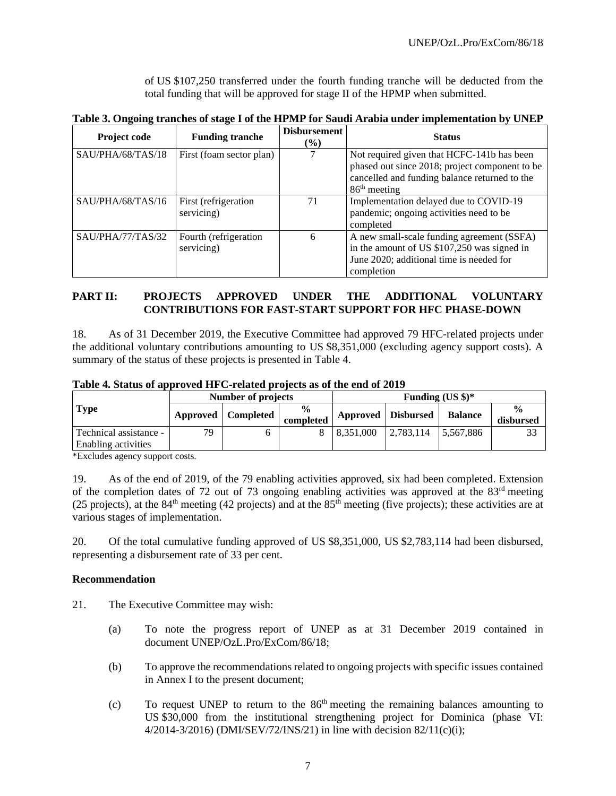of US \$107,250 transferred under the fourth funding tranche will be deducted from the total funding that will be approved for stage II of the HPMP when submitted.

|  |  | Table 3. Ongoing tranches of stage I of the HPMP for Saudi Arabia under implementation by UNEP |
|--|--|------------------------------------------------------------------------------------------------|
|  |  |                                                                                                |

| <b>Project code</b> | <b>Funding tranche</b>              | <b>Disbursement</b><br>$\frac{6}{6}$ | <b>Status</b>                                                                                                                                                   |
|---------------------|-------------------------------------|--------------------------------------|-----------------------------------------------------------------------------------------------------------------------------------------------------------------|
| SAU/PHA/68/TAS/18   | First (foam sector plan)            |                                      | Not required given that HCFC-141b has been<br>phased out since 2018; project component to be<br>cancelled and funding balance returned to the<br>$86th$ meeting |
| SAU/PHA/68/TAS/16   | First (refrigeration<br>servicing)  | 71                                   | Implementation delayed due to COVID-19<br>pandemic; ongoing activities need to be<br>completed                                                                  |
| SAU/PHA/77/TAS/32   | Fourth (refrigeration<br>servicing) | 6                                    | A new small-scale funding agreement (SSFA)<br>in the amount of US \$107,250 was signed in<br>June 2020; additional time is needed for<br>completion             |

## **PART II: PROJECTS APPROVED UNDER THE ADDITIONAL VOLUNTARY CONTRIBUTIONS FOR FAST-START SUPPORT FOR HFC PHASE-DOWN**

18. As of 31 December 2019, the Executive Committee had approved 79 HFC-related projects under the additional voluntary contributions amounting to US \$8,351,000 (excluding agency support costs). A summary of the status of these projects is presented in Table 4.

**Table 4. Status of approved HFC-related projects as of the end of 2019**

| Number of projects                            |    |                      |                            | Funding $(US \$ )^* |                    |                |                                      |
|-----------------------------------------------|----|----------------------|----------------------------|---------------------|--------------------|----------------|--------------------------------------|
| <b>Type</b>                                   |    | Approved   Completed | $\frac{6}{9}$<br>completed |                     | Approved Disbursed | <b>Balance</b> | $\mathbf{O}_\mathbf{O}$<br>disbursed |
| Technical assistance -<br>Enabling activities | 79 |                      |                            | 8.351,000           | 2,783,114          | 5.567.886      |                                      |

\*Excludes agency support costs.

19. As of the end of 2019, of the 79 enabling activities approved, six had been completed. Extension of the completion dates of 72 out of 73 ongoing enabling activities was approved at the  $83<sup>rd</sup>$  meeting (25 projects), at the 84<sup>th</sup> meeting (42 projects) and at the 85<sup>th</sup> meeting (five projects); these activities are at various stages of implementation.

20. Of the total cumulative funding approved of US \$8,351,000, US \$2,783,114 had been disbursed, representing a disbursement rate of 33 per cent.

## **Recommendation**

- 21. The Executive Committee may wish:
	- (a) To note the progress report of UNEP as at 31 December 2019 contained in document UNEP/OzL.Pro/ExCom/86/18;
	- (b) To approve the recommendations related to ongoing projects with specific issues contained in Annex I to the present document;
	- (c) To request UNEP to return to the  $86<sup>th</sup>$  meeting the remaining balances amounting to US \$30,000 from the institutional strengthening project for Dominica (phase VI: 4/2014-3/2016) (DMI/SEV/72/INS/21) in line with decision 82/11(c)(i);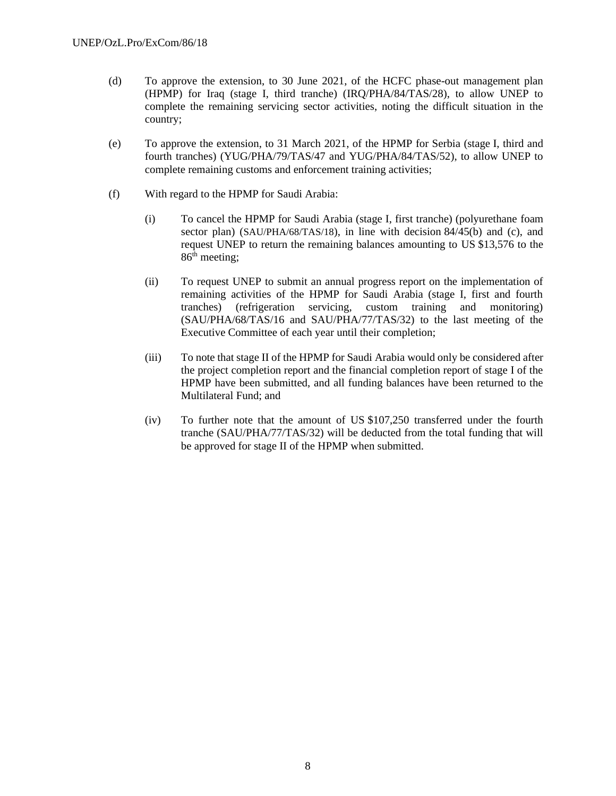- (d) To approve the extension, to 30 June 2021, of the HCFC phase-out management plan (HPMP) for Iraq (stage I, third tranche) (IRQ/PHA/84/TAS/28), to allow UNEP to complete the remaining servicing sector activities, noting the difficult situation in the country;
- (e) To approve the extension, to 31 March 2021, of the HPMP for Serbia (stage I, third and fourth tranches) (YUG/PHA/79/TAS/47 and YUG/PHA/84/TAS/52), to allow UNEP to complete remaining customs and enforcement training activities;
- (f) With regard to the HPMP for Saudi Arabia:
	- (i) To cancel the HPMP for Saudi Arabia (stage I, first tranche) (polyurethane foam sector plan) (SAU/PHA/68/TAS/18), in line with decision 84/45(b) and (c), and request UNEP to return the remaining balances amounting to US \$13,576 to the  $86<sup>th</sup>$  meeting;
	- (ii) To request UNEP to submit an annual progress report on the implementation of remaining activities of the HPMP for Saudi Arabia (stage I, first and fourth tranches) (refrigeration servicing, custom training and monitoring) (SAU/PHA/68/TAS/16 and SAU/PHA/77/TAS/32) to the last meeting of the Executive Committee of each year until their completion;
	- (iii) To note that stage II of the HPMP for Saudi Arabia would only be considered after the project completion report and the financial completion report of stage I of the HPMP have been submitted, and all funding balances have been returned to the Multilateral Fund; and
	- (iv) To further note that the amount of US \$107,250 transferred under the fourth tranche (SAU/PHA/77/TAS/32) will be deducted from the total funding that will be approved for stage II of the HPMP when submitted.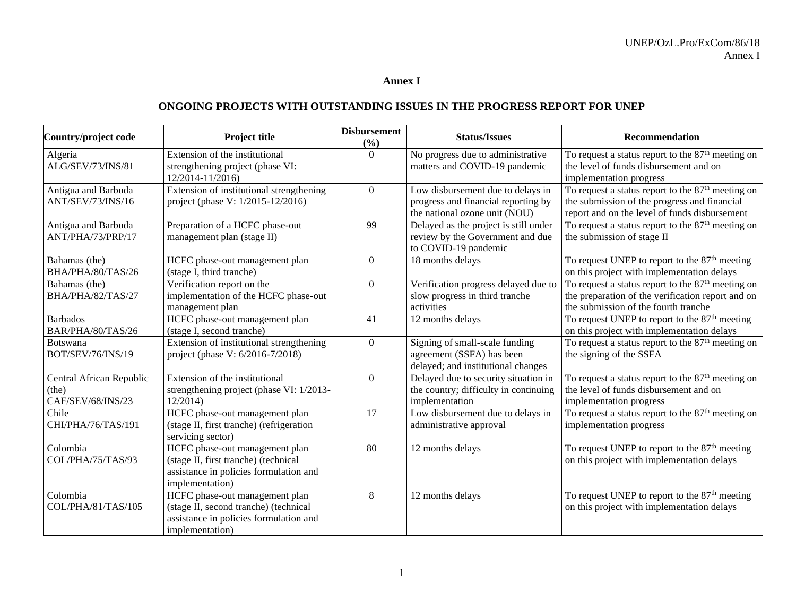## **Annex I**

## **ONGOING PROJECTS WITH OUTSTANDING ISSUES IN THE PROGRESS REPORT FOR UNEP**

| Country/project code     | <b>Project title</b>                     | <b>Disbursement</b><br>(%) | <b>Status/Issues</b>                  | <b>Recommendation</b>                                         |
|--------------------------|------------------------------------------|----------------------------|---------------------------------------|---------------------------------------------------------------|
| Algeria                  | Extension of the institutional           | $\theta$                   | No progress due to administrative     | To request a status report to the $87th$ meeting on           |
| ALG/SEV/73/INS/81        | strengthening project (phase VI:         |                            | matters and COVID-19 pandemic         | the level of funds disbursement and on                        |
|                          | 12/2014-11/2016)                         |                            |                                       | implementation progress                                       |
| Antigua and Barbuda      | Extension of institutional strengthening | $\overline{0}$             | Low disbursement due to delays in     | To request a status report to the 87 <sup>th</sup> meeting on |
| ANT/SEV/73/INS/16        | project (phase V: 1/2015-12/2016)        |                            | progress and financial reporting by   | the submission of the progress and financial                  |
|                          |                                          |                            | the national ozone unit (NOU)         | report and on the level of funds disbursement                 |
| Antigua and Barbuda      | Preparation of a HCFC phase-out          | 99                         | Delayed as the project is still under | To request a status report to the $87th$ meeting on           |
| ANT/PHA/73/PRP/17        | management plan (stage II)               |                            | review by the Government and due      | the submission of stage II                                    |
|                          |                                          |                            | to COVID-19 pandemic                  |                                                               |
| Bahamas (the)            | HCFC phase-out management plan           | $\theta$                   | 18 months delays                      | To request UNEP to report to the $87th$ meeting               |
| BHA/PHA/80/TAS/26        | (stage I, third tranche)                 |                            |                                       | on this project with implementation delays                    |
| Bahamas (the)            | Verification report on the               | $\overline{0}$             | Verification progress delayed due to  | To request a status report to the $87th$ meeting on           |
| BHA/PHA/82/TAS/27        | implementation of the HCFC phase-out     |                            | slow progress in third tranche        | the preparation of the verification report and on             |
|                          | management plan                          |                            | activities                            | the submission of the fourth tranche                          |
| <b>Barbados</b>          | HCFC phase-out management plan           | 41                         | 12 months delays                      | To request UNEP to report to the $87th$ meeting               |
| BAR/PHA/80/TAS/26        | (stage I, second tranche)                |                            |                                       | on this project with implementation delays                    |
| Botswana                 | Extension of institutional strengthening | $\overline{0}$             | Signing of small-scale funding        | To request a status report to the $87th$ meeting on           |
| BOT/SEV/76/INS/19        | project (phase V: 6/2016-7/2018)         |                            | agreement (SSFA) has been             | the signing of the SSFA                                       |
|                          |                                          |                            | delayed; and institutional changes    |                                                               |
| Central African Republic | Extension of the institutional           | $\Omega$                   | Delayed due to security situation in  | To request a status report to the $87th$ meeting on           |
| (the)                    | strengthening project (phase VI: 1/2013- |                            | the country; difficulty in continuing | the level of funds disbursement and on                        |
| CAF/SEV/68/INS/23        | 12/2014                                  |                            | implementation                        | implementation progress                                       |
| Chile                    | HCFC phase-out management plan           | 17                         | Low disbursement due to delays in     | To request a status report to the $87th$ meeting on           |
| CHI/PHA/76/TAS/191       | (stage II, first tranche) (refrigeration |                            | administrative approval               | implementation progress                                       |
|                          | servicing sector)                        |                            |                                       |                                                               |
| Colombia                 | HCFC phase-out management plan           | 80                         | 12 months delays                      | To request UNEP to report to the 87 <sup>th</sup> meeting     |
| COL/PHA/75/TAS/93        | (stage II, first tranche) (technical     |                            |                                       | on this project with implementation delays                    |
|                          | assistance in policies formulation and   |                            |                                       |                                                               |
|                          | implementation)                          |                            |                                       |                                                               |
| Colombia                 | HCFC phase-out management plan           | 8                          | 12 months delays                      | To request UNEP to report to the 87 <sup>th</sup> meeting     |
| COL/PHA/81/TAS/105       | (stage II, second tranche) (technical    |                            |                                       | on this project with implementation delays                    |
|                          | assistance in policies formulation and   |                            |                                       |                                                               |
|                          | implementation)                          |                            |                                       |                                                               |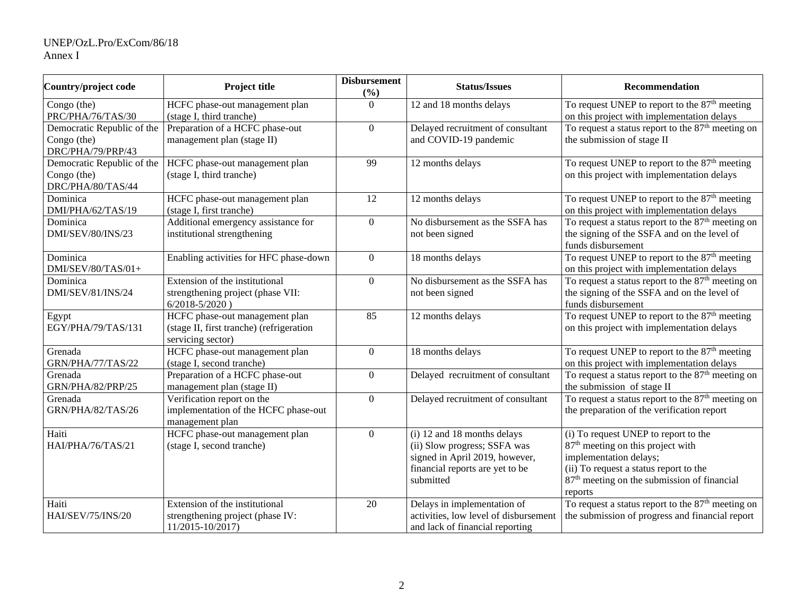## UNEP/OzL.Pro/ExCom/86/18 Annex I

| Country/project code                                           | Project title                                                                                   | <b>Disbursement</b><br>(%) | <b>Status/Issues</b>                                                                                                                          | Recommendation                                                                                                                                                                                                                  |
|----------------------------------------------------------------|-------------------------------------------------------------------------------------------------|----------------------------|-----------------------------------------------------------------------------------------------------------------------------------------------|---------------------------------------------------------------------------------------------------------------------------------------------------------------------------------------------------------------------------------|
| Congo (the)<br>PRC/PHA/76/TAS/30                               | HCFC phase-out management plan<br>(stage I, third tranche)                                      | $\overline{0}$             | $\overline{12}$ and $\overline{18}$ months delays                                                                                             | To request UNEP to report to the $87th$ meeting<br>on this project with implementation delays                                                                                                                                   |
| Democratic Republic of the<br>Congo (the)<br>DRC/PHA/79/PRP/43 | Preparation of a HCFC phase-out<br>management plan (stage II)                                   | $\mathbf{0}$               | Delayed recruitment of consultant<br>and COVID-19 pandemic                                                                                    | To request a status report to the $87th$ meeting on<br>the submission of stage II                                                                                                                                               |
| Democratic Republic of the<br>Congo (the)<br>DRC/PHA/80/TAS/44 | HCFC phase-out management plan<br>(stage I, third tranche)                                      | 99                         | 12 months delays                                                                                                                              | To request UNEP to report to the $87th$ meeting<br>on this project with implementation delays                                                                                                                                   |
| Dominica<br>DMI/PHA/62/TAS/19                                  | HCFC phase-out management plan<br>(stage I, first tranche)                                      | 12                         | 12 months delays                                                                                                                              | To request UNEP to report to the $87th$ meeting<br>on this project with implementation delays                                                                                                                                   |
| Dominica<br>DMI/SEV/80/INS/23                                  | Additional emergency assistance for<br>institutional strengthening                              | $\overline{0}$             | No disbursement as the SSFA has<br>not been signed                                                                                            | To request a status report to the $87th$ meeting on<br>the signing of the SSFA and on the level of<br>funds disbursement                                                                                                        |
| Dominica<br>DMI/SEV/80/TAS/01+                                 | Enabling activities for HFC phase-down                                                          | $\overline{0}$             | 18 months delays                                                                                                                              | To request UNEP to report to the 87 <sup>th</sup> meeting<br>on this project with implementation delays                                                                                                                         |
| Dominica<br>DMI/SEV/81/INS/24                                  | Extension of the institutional<br>strengthening project (phase VII:<br>$6/2018 - 5/2020$ )      | $\Omega$                   | No disbursement as the SSFA has<br>not been signed                                                                                            | To request a status report to the 87 <sup>th</sup> meeting on<br>the signing of the SSFA and on the level of<br>funds disbursement                                                                                              |
| Egypt<br>EGY/PHA/79/TAS/131                                    | HCFC phase-out management plan<br>(stage II, first tranche) (refrigeration<br>servicing sector) | 85                         | 12 months delays                                                                                                                              | To request UNEP to report to the 87 <sup>th</sup> meeting<br>on this project with implementation delays                                                                                                                         |
| Grenada<br>GRN/PHA/77/TAS/22                                   | HCFC phase-out management plan<br>(stage I, second tranche)                                     | $\boldsymbol{0}$           | 18 months delays                                                                                                                              | To request UNEP to report to the $87th$ meeting<br>on this project with implementation delays                                                                                                                                   |
| Grenada<br>GRN/PHA/82/PRP/25                                   | Preparation of a HCFC phase-out<br>management plan (stage II)                                   | $\overline{0}$             | Delayed recruitment of consultant                                                                                                             | To request a status report to the $87th$ meeting on<br>the submission of stage II                                                                                                                                               |
| Grenada<br>GRN/PHA/82/TAS/26                                   | Verification report on the<br>implementation of the HCFC phase-out<br>management plan           | $\mathbf{0}$               | Delayed recruitment of consultant                                                                                                             | To request a status report to the 87 <sup>th</sup> meeting on<br>the preparation of the verification report                                                                                                                     |
| Haiti<br>HAI/PHA/76/TAS/21                                     | HCFC phase-out management plan<br>(stage I, second tranche)                                     | $\overline{0}$             | (i) 12 and 18 months delays<br>(ii) Slow progress; SSFA was<br>signed in April 2019, however,<br>financial reports are yet to be<br>submitted | (i) To request UNEP to report to the<br>87 <sup>th</sup> meeting on this project with<br>implementation delays;<br>(ii) To request a status report to the<br>87 <sup>th</sup> meeting on the submission of financial<br>reports |
| Haiti<br>HAI/SEV/75/INS/20                                     | Extension of the institutional<br>strengthening project (phase IV:<br>11/2015-10/2017)          | 20                         | Delays in implementation of<br>activities, low level of disbursement<br>and lack of financial reporting                                       | To request a status report to the $87th$ meeting on<br>the submission of progress and financial report                                                                                                                          |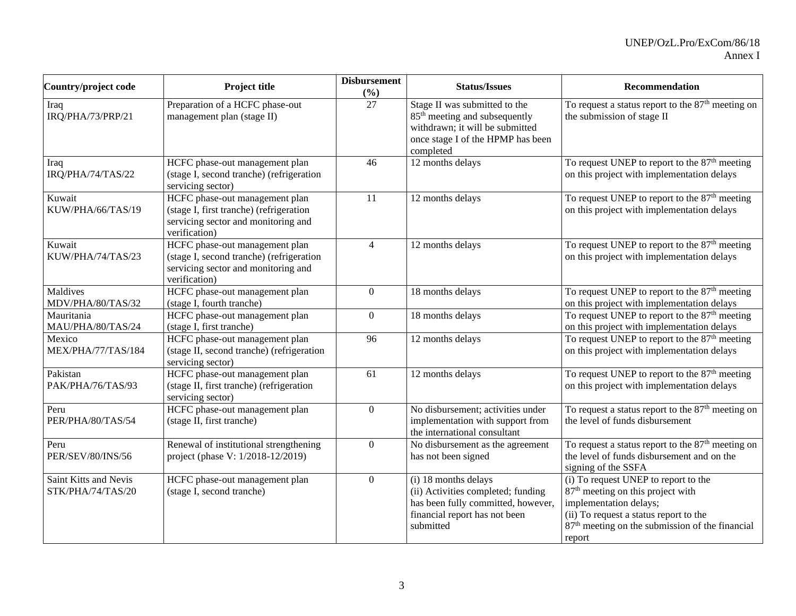| Country/project code                       | <b>Project title</b>                                                                                                               | <b>Disbursement</b><br>(%) | <b>Status/Issues</b>                                                                                                                                            | Recommendation                                                                                                                                                                                                                     |
|--------------------------------------------|------------------------------------------------------------------------------------------------------------------------------------|----------------------------|-----------------------------------------------------------------------------------------------------------------------------------------------------------------|------------------------------------------------------------------------------------------------------------------------------------------------------------------------------------------------------------------------------------|
| Iraq<br>IRQ/PHA/73/PRP/21                  | Preparation of a HCFC phase-out<br>management plan (stage II)                                                                      | 27                         | Stage II was submitted to the<br>85 <sup>th</sup> meeting and subsequently<br>withdrawn; it will be submitted<br>once stage I of the HPMP has been<br>completed | To request a status report to the $87th$ meeting on<br>the submission of stage II                                                                                                                                                  |
| Iraq<br>IRQ/PHA/74/TAS/22                  | HCFC phase-out management plan<br>(stage I, second tranche) (refrigeration<br>servicing sector)                                    | 46                         | 12 months delays                                                                                                                                                | To request UNEP to report to the $87th$ meeting<br>on this project with implementation delays                                                                                                                                      |
| Kuwait<br>KUW/PHA/66/TAS/19                | HCFC phase-out management plan<br>(stage I, first tranche) (refrigeration<br>servicing sector and monitoring and<br>verification)  | $\overline{11}$            | 12 months delays                                                                                                                                                | To request UNEP to report to the 87 <sup>th</sup> meeting<br>on this project with implementation delays                                                                                                                            |
| Kuwait<br>KUW/PHA/74/TAS/23                | HCFC phase-out management plan<br>(stage I, second tranche) (refrigeration<br>servicing sector and monitoring and<br>verification) | $\overline{4}$             | 12 months delays                                                                                                                                                | To request UNEP to report to the 87 <sup>th</sup> meeting<br>on this project with implementation delays                                                                                                                            |
| Maldives<br>MDV/PHA/80/TAS/32              | HCFC phase-out management plan<br>(stage I, fourth tranche)                                                                        | $\overline{0}$             | 18 months delays                                                                                                                                                | To request UNEP to report to the $87th$ meeting<br>on this project with implementation delays                                                                                                                                      |
| Mauritania<br>MAU/PHA/80/TAS/24            | HCFC phase-out management plan<br>(stage I, first tranche)                                                                         | $\boldsymbol{0}$           | 18 months delays                                                                                                                                                | To request UNEP to report to the $87th$ meeting<br>on this project with implementation delays                                                                                                                                      |
| Mexico<br>MEX/PHA/77/TAS/184               | HCFC phase-out management plan<br>(stage II, second tranche) (refrigeration<br>servicing sector)                                   | 96                         | 12 months delays                                                                                                                                                | To request UNEP to report to the $87th$ meeting<br>on this project with implementation delays                                                                                                                                      |
| Pakistan<br>PAK/PHA/76/TAS/93              | HCFC phase-out management plan<br>(stage II, first tranche) (refrigeration<br>servicing sector)                                    | 61                         | 12 months delays                                                                                                                                                | To request UNEP to report to the 87 <sup>th</sup> meeting<br>on this project with implementation delays                                                                                                                            |
| Peru<br>PER/PHA/80/TAS/54                  | HCFC phase-out management plan<br>(stage II, first tranche)                                                                        | $\boldsymbol{0}$           | No disbursement; activities under<br>implementation with support from<br>the international consultant                                                           | To request a status report to the $87th$ meeting on<br>the level of funds disbursement                                                                                                                                             |
| Peru<br>PER/SEV/80/INS/56                  | Renewal of institutional strengthening<br>project (phase V: 1/2018-12/2019)                                                        | $\boldsymbol{0}$           | No disbursement as the agreement<br>has not been signed                                                                                                         | To request a status report to the $87th$ meeting on<br>the level of funds disbursement and on the<br>signing of the SSFA                                                                                                           |
| Saint Kitts and Nevis<br>STK/PHA/74/TAS/20 | HCFC phase-out management plan<br>(stage I, second tranche)                                                                        | $\overline{0}$             | (i) 18 months delays<br>(ii) Activities completed; funding<br>has been fully committed, however,<br>financial report has not been<br>submitted                  | (i) To request UNEP to report to the<br>87 <sup>th</sup> meeting on this project with<br>implementation delays;<br>(ii) To request a status report to the<br>87 <sup>th</sup> meeting on the submission of the financial<br>report |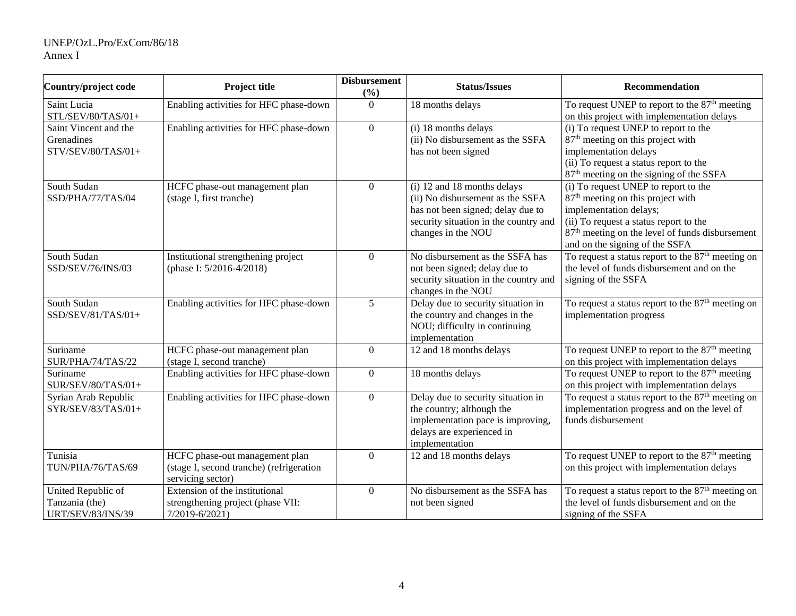## UNEP/OzL.Pro/ExCom/86/18 Annex I

| Country/project code                                             | <b>Project title</b>                                                                            | <b>Disbursement</b><br>(%) | <b>Status/Issues</b>                                                                                                                                                | Recommendation                                                                                                                                                                                                                                             |
|------------------------------------------------------------------|-------------------------------------------------------------------------------------------------|----------------------------|---------------------------------------------------------------------------------------------------------------------------------------------------------------------|------------------------------------------------------------------------------------------------------------------------------------------------------------------------------------------------------------------------------------------------------------|
| Saint Lucia<br>STL/SEV/80/TAS/01+                                | Enabling activities for HFC phase-down                                                          | $\theta$                   | 18 months delays                                                                                                                                                    | To request UNEP to report to the 87 <sup>th</sup> meeting<br>on this project with implementation delays                                                                                                                                                    |
| Saint Vincent and the<br>Grenadines<br>STV/SEV/80/TAS/01+        | Enabling activities for HFC phase-down                                                          | $\boldsymbol{0}$           | (i) 18 months delays<br>(ii) No disbursement as the SSFA<br>has not been signed                                                                                     | (i) To request UNEP to report to the<br>87 <sup>th</sup> meeting on this project with<br>implementation delays<br>(ii) To request a status report to the<br>87 <sup>th</sup> meeting on the signing of the SSFA                                            |
| South Sudan<br>SSD/PHA/77/TAS/04                                 | HCFC phase-out management plan<br>(stage I, first tranche)                                      | $\boldsymbol{0}$           | (i) 12 and 18 months delays<br>(ii) No disbursement as the SSFA<br>has not been signed; delay due to<br>security situation in the country and<br>changes in the NOU | (i) To request UNEP to report to the<br>87 <sup>th</sup> meeting on this project with<br>implementation delays;<br>(ii) To request a status report to the<br>87 <sup>th</sup> meeting on the level of funds disbursement<br>and on the signing of the SSFA |
| South Sudan<br>SSD/SEV/76/INS/03                                 | Institutional strengthening project<br>(phase I: 5/2016-4/2018)                                 | $\overline{0}$             | No disbursement as the SSFA has<br>not been signed; delay due to<br>security situation in the country and<br>changes in the NOU                                     | To request a status report to the $87th$ meeting on<br>the level of funds disbursement and on the<br>signing of the SSFA                                                                                                                                   |
| South Sudan<br>SSD/SEV/81/TAS/01+                                | Enabling activities for HFC phase-down                                                          | 5                          | Delay due to security situation in<br>the country and changes in the<br>NOU; difficulty in continuing<br>implementation                                             | To request a status report to the 87 <sup>th</sup> meeting on<br>implementation progress                                                                                                                                                                   |
| Suriname<br>SUR/PHA/74/TAS/22                                    | HCFC phase-out management plan<br>(stage I, second tranche)                                     | $\boldsymbol{0}$           | 12 and 18 months delays                                                                                                                                             | To request UNEP to report to the $87th$ meeting<br>on this project with implementation delays                                                                                                                                                              |
| Suriname<br>SUR/SEV/80/TAS/01+                                   | Enabling activities for HFC phase-down                                                          | $\overline{0}$             | 18 months delays                                                                                                                                                    | To request UNEP to report to the $87th$ meeting<br>on this project with implementation delays                                                                                                                                                              |
| Syrian Arab Republic<br>$SYR/SEV/83/TAS/01+$                     | Enabling activities for HFC phase-down                                                          | $\boldsymbol{0}$           | Delay due to security situation in<br>the country; although the<br>implementation pace is improving,<br>delays are experienced in<br>implementation                 | To request a status report to the $87th$ meeting on<br>implementation progress and on the level of<br>funds disbursement                                                                                                                                   |
| Tunisia<br>TUN/PHA/76/TAS/69                                     | HCFC phase-out management plan<br>(stage I, second tranche) (refrigeration<br>servicing sector) | $\boldsymbol{0}$           | 12 and 18 months delays                                                                                                                                             | To request UNEP to report to the 87 <sup>th</sup> meeting<br>on this project with implementation delays                                                                                                                                                    |
| United Republic of<br>Tanzania (the)<br><b>URT/SEV/83/INS/39</b> | Extension of the institutional<br>strengthening project (phase VII:<br>$7/2019 - 6/2021$        | $\theta$                   | No disbursement as the SSFA has<br>not been signed                                                                                                                  | To request a status report to the 87 <sup>th</sup> meeting on<br>the level of funds disbursement and on the<br>signing of the SSFA                                                                                                                         |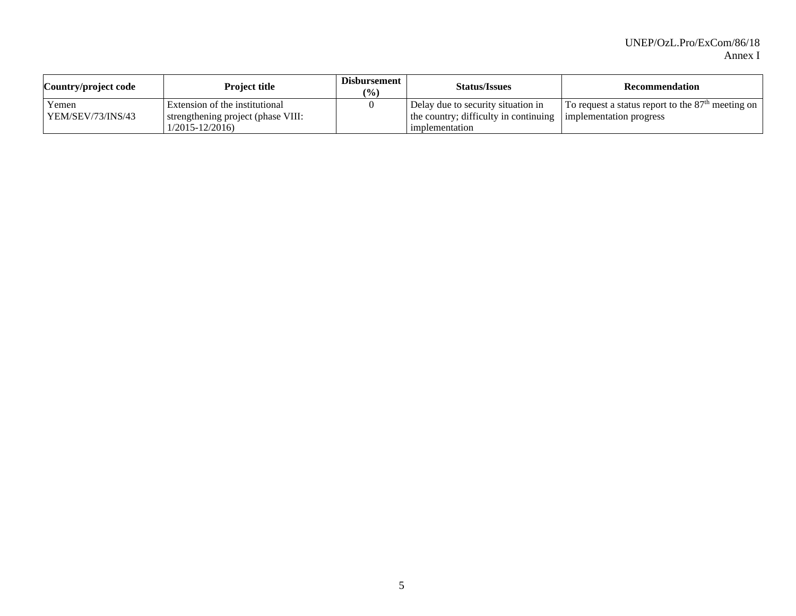| Country/project code | <b>Project title</b>               | Disbursement<br>$\frac{1}{2}$ | <b>Status/Issues</b>                                          | <b>Recommendation</b>                               |
|----------------------|------------------------------------|-------------------------------|---------------------------------------------------------------|-----------------------------------------------------|
| Yemen                | Extension of the institutional     |                               | Delay due to security situation in                            | To request a status report to the $87th$ meeting on |
| YEM/SEV/73/INS/43    | strengthening project (phase VIII: |                               | the country; difficulty in continuing implementation progress |                                                     |
|                      | $\frac{1}{2015} - \frac{12}{2016}$ |                               | l implementation                                              |                                                     |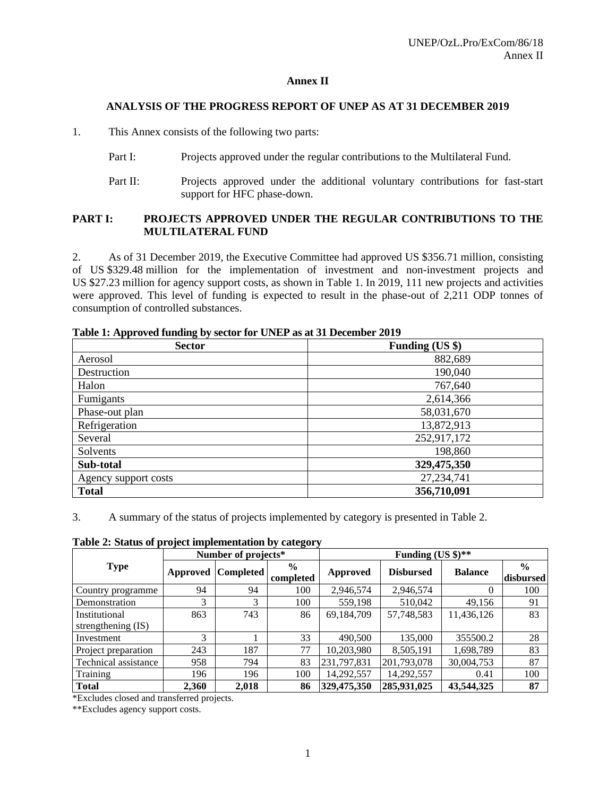## **Annex II**

#### **ANALYSIS OF THE PROGRESS REPORT OF UNEP AS AT 31 DECEMBER 2019**

1. This Annex consists of the following two parts:

- Part I: Projects approved under the regular contributions to the Multilateral Fund.
- Part II: Projects approved under the additional voluntary contributions for fast-start support for HFC phase-down.

## **PART I: PROJECTS APPROVED UNDER THE REGULAR CONTRIBUTIONS TO THE MULTILATERAL FUND**

2. As of 31 December 2019, the Executive Committee had approved US \$356.71 million, consisting of US \$329.48 million for the implementation of investment and non-investment projects and US \$27.23 million for agency support costs, as shown in Table 1. In 2019, 111 new projects and activities were approved. This level of funding is expected to result in the phase-out of 2,211 ODP tonnes of consumption of controlled substances.

| <b>Sector</b>        | Funding (US \$) |
|----------------------|-----------------|
| Aerosol              | 882,689         |
| Destruction          | 190,040         |
| Halon                | 767,640         |
| Fumigants            | 2,614,366       |
| Phase-out plan       | 58,031,670      |
| Refrigeration        | 13,872,913      |
| Several              | 252,917,172     |
| Solvents             | 198,860         |
| Sub-total            | 329,475,350     |
| Agency support costs | 27, 234, 741    |
| <b>Total</b>         | 356,710,091     |

**Table 1: Approved funding by sector for UNEP as at 31 December 2019**

3. A summary of the status of projects implemented by category is presented in Table 2.

**Table 2: Status of project implementation by category**

|                      |       | Number of projects*       |                            |             | Funding $(US \text{ } $)\text{**}$ |                |                            |
|----------------------|-------|---------------------------|----------------------------|-------------|------------------------------------|----------------|----------------------------|
| <b>Type</b>          |       | <b>Approved Completed</b> | $\frac{6}{9}$<br>completed | Approved    | <b>Disbursed</b>                   | <b>Balance</b> | $\frac{0}{0}$<br>disbursed |
| Country programme    | 94    | 94                        | 100                        | 2,946,574   | 2,946,574                          | 0              | 100                        |
| Demonstration        | 3     | 3                         | 100                        | 559,198     | 510,042                            | 49,156         | 91                         |
| Institutional        | 863   | 743                       | 86                         | 69,184,709  | 57,748,583                         | 11,436,126     | 83                         |
| strengthening (IS)   |       |                           |                            |             |                                    |                |                            |
| Investment           | 3     |                           | 33                         | 490,500     | 135,000                            | 355500.2       | 28                         |
| Project preparation  | 243   | 187                       | 77                         | 10,203,980  | 8,505,191                          | 1,698,789      | 83                         |
| Technical assistance | 958   | 794                       | 83                         | 231,797,831 | 201,793,078                        | 30,004,753     | 87                         |
| Training             | 196   | 196                       | 100                        | 14,292,557  | 14,292,557                         | 0.41           | 100                        |
| <b>Total</b>         | 2,360 | 2,018                     | 86                         | 329,475,350 | 285,931,025                        | 43,544,325     | 87                         |

\*Excludes closed and transferred projects.

\*\*Excludes agency support costs.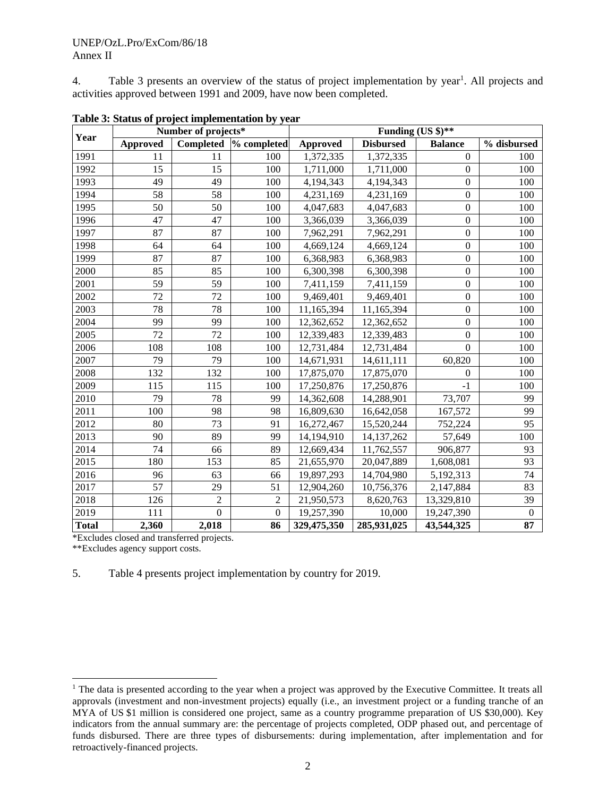4. Table 3 presents an overview of the status of project implementation by year<sup>1</sup>. All projects and activities approved between 1991 and 2009, have now been completed.

| Year         | Number of projects* |                | Funding (US \$)** |                 |                  |                  |              |  |
|--------------|---------------------|----------------|-------------------|-----------------|------------------|------------------|--------------|--|
|              | <b>Approved</b>     | Completed      | % completed       | <b>Approved</b> | <b>Disbursed</b> | <b>Balance</b>   | % disbursed  |  |
| 1991         | 11                  | 11             | 100               | 1,372,335       | 1,372,335        | $\Omega$         | 100          |  |
| 1992         | 15                  | 15             | 100               | 1,711,000       | 1,711,000        | $\boldsymbol{0}$ | 100          |  |
| 1993         | 49                  | 49             | 100               | 4,194,343       | 4,194,343        | $\boldsymbol{0}$ | 100          |  |
| 1994         | 58                  | 58             | 100               | 4,231,169       | 4,231,169        | $\boldsymbol{0}$ | 100          |  |
| 1995         | 50                  | 50             | 100               | 4,047,683       | 4,047,683        | $\boldsymbol{0}$ | 100          |  |
| 1996         | 47                  | 47             | 100               | 3,366,039       | 3,366,039        | $\boldsymbol{0}$ | 100          |  |
| 1997         | 87                  | 87             | 100               | 7,962,291       | 7,962,291        | $\boldsymbol{0}$ | 100          |  |
| 1998         | 64                  | 64             | 100               | 4,669,124       | 4,669,124        | $\boldsymbol{0}$ | 100          |  |
| 1999         | 87                  | 87             | 100               | 6,368,983       | 6,368,983        | $\boldsymbol{0}$ | 100          |  |
| 2000         | 85                  | 85             | 100               | 6,300,398       | 6,300,398        | $\boldsymbol{0}$ | 100          |  |
| 2001         | 59                  | 59             | 100               | 7,411,159       | 7,411,159        | $\boldsymbol{0}$ | 100          |  |
| 2002         | 72                  | 72             | 100               | 9,469,401       | 9,469,401        | $\boldsymbol{0}$ | 100          |  |
| 2003         | 78                  | 78             | 100               | 11,165,394      | 11,165,394       | $\boldsymbol{0}$ | 100          |  |
| 2004         | 99                  | 99             | 100               | 12,362,652      | 12,362,652       | $\boldsymbol{0}$ | 100          |  |
| 2005         | 72                  | 72             | 100               | 12,339,483      | 12,339,483       | $\mathbf{0}$     | 100          |  |
| 2006         | 108                 | 108            | 100               | 12,731,484      | 12,731,484       | $\mathbf{0}$     | 100          |  |
| 2007         | 79                  | 79             | 100               | 14,671,931      | 14,611,111       | 60,820           | 100          |  |
| 2008         | 132                 | 132            | 100               | 17,875,070      | 17,875,070       | $\mathbf{0}$     | 100          |  |
| 2009         | 115                 | 115            | 100               | 17,250,876      | 17,250,876       | $-1$             | 100          |  |
| 2010         | 79                  | 78             | 99                | 14,362,608      | 14,288,901       | 73,707           | 99           |  |
| 2011         | 100                 | 98             | 98                | 16,809,630      | 16,642,058       | 167,572          | 99           |  |
| 2012         | 80                  | 73             | 91                | 16,272,467      | 15,520,244       | 752,224          | 95           |  |
| 2013         | 90                  | 89             | 99                | 14,194,910      | 14, 137, 262     | 57,649           | 100          |  |
| 2014         | 74                  | 66             | 89                | 12,669,434      | 11,762,557       | 906,877          | 93           |  |
| 2015         | 180                 | 153            | 85                | 21,655,970      | 20,047,889       | 1,608,081        | 93           |  |
| 2016         | 96                  | 63             | 66                | 19,897,293      | 14,704,980       | 5,192,313        | 74           |  |
| 2017         | 57                  | 29             | 51                | 12,904,260      | 10,756,376       | 2,147,884        | 83           |  |
| 2018         | 126                 | $\overline{2}$ | $\overline{2}$    | 21,950,573      | 8,620,763        | 13,329,810       | 39           |  |
| 2019         | 111                 | $\mathbf{0}$   | $\overline{0}$    | 19,257,390      | 10,000           | 19,247,390       | $\mathbf{0}$ |  |
| <b>Total</b> | 2,360               | 2,018          | 86                | 329,475,350     | 285,931,025      | 43,544,325       | 87           |  |

**Table 3: Status of project implementation by year**

\*Excludes closed and transferred projects.

\*\*Excludes agency support costs.

5. Table 4 presents project implementation by country for 2019.

<sup>&</sup>lt;sup>1</sup> The data is presented according to the year when a project was approved by the Executive Committee. It treats all approvals (investment and non-investment projects) equally (i.e., an investment project or a funding tranche of an MYA of US \$1 million is considered one project, same as a country programme preparation of US \$30,000). Key indicators from the annual summary are: the percentage of projects completed, ODP phased out, and percentage of funds disbursed. There are three types of disbursements: during implementation, after implementation and for retroactively-financed projects.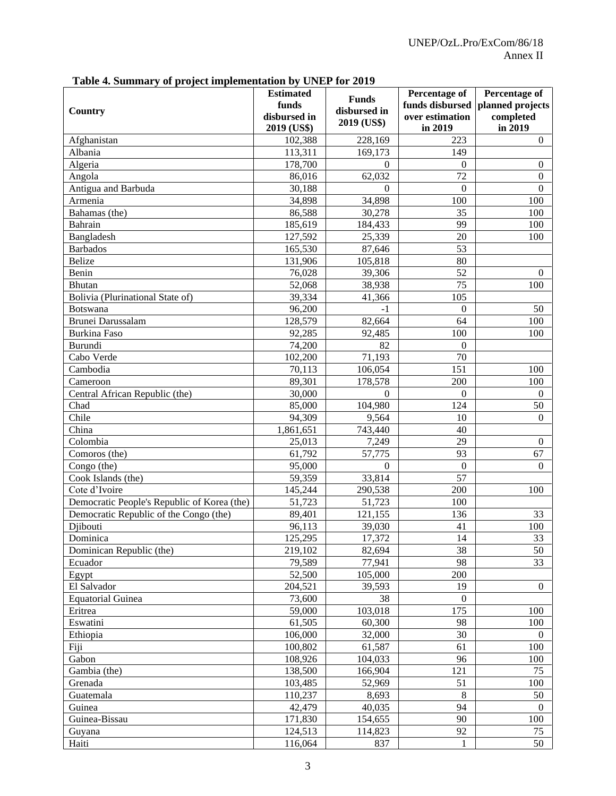|                                             | <b>Estimated</b>                     |                                             | <b>Percentage of</b>                          | Percentage of                            |
|---------------------------------------------|--------------------------------------|---------------------------------------------|-----------------------------------------------|------------------------------------------|
| Country                                     | funds<br>disbursed in<br>2019 (US\$) | <b>Funds</b><br>disbursed in<br>2019 (US\$) | funds disbursed<br>over estimation<br>in 2019 | planned projects<br>completed<br>in 2019 |
| Afghanistan                                 |                                      | 228,169                                     | 223                                           | $\overline{0}$                           |
|                                             | 102,388                              |                                             |                                               |                                          |
| Albania                                     | 113,311                              | 169,173                                     | 149                                           |                                          |
| Algeria                                     | 178,700                              | $\Omega$                                    | $\mathbf{0}$                                  | $\mathbf{0}$                             |
| Angola                                      | 86,016                               | 62,032                                      | 72                                            | $\overline{0}$                           |
| Antigua and Barbuda                         | 30,188                               | $\Omega$                                    | $\Omega$                                      | $\Omega$                                 |
| Armenia                                     | 34,898                               | 34,898                                      | 100                                           | 100                                      |
| Bahamas (the)                               | 86,588                               | 30,278                                      | 35                                            | 100                                      |
| Bahrain                                     | 185,619                              | 184,433                                     | 99                                            | 100                                      |
| Bangladesh                                  | 127,592                              | 25,339                                      | 20                                            | 100                                      |
| <b>Barbados</b>                             | 165,530                              | 87,646                                      | 53                                            |                                          |
| Belize                                      | 131,906                              | 105,818                                     | 80                                            |                                          |
| Benin                                       | 76,028                               | 39,306                                      | 52                                            | $\mathbf{0}$                             |
| Bhutan                                      | 52,068                               | 38,938                                      | 75                                            | 100                                      |
| Bolivia (Plurinational State of)            | 39,334                               | 41,366                                      | 105                                           |                                          |
| Botswana                                    | 96,200                               | $-1$                                        | $\Omega$                                      | 50                                       |
| Brunei Darussalam                           | 128,579                              | 82,664                                      | 64                                            | 100                                      |
| <b>Burkina Faso</b>                         | 92,285                               | 92,485                                      | 100                                           | 100                                      |
| Burundi                                     | 74,200                               | 82                                          | $\Omega$                                      |                                          |
| Cabo Verde                                  | 102,200                              | 71,193                                      | 70                                            |                                          |
| Cambodia                                    | 70,113                               | 106,054                                     | 151                                           | 100                                      |
| Cameroon                                    | 89,301                               | 178,578                                     | 200                                           | 100                                      |
| Central African Republic (the)              | 30,000                               | $\Omega$                                    | $\Omega$                                      | $\overline{0}$                           |
| Chad                                        | 85,000                               | 104,980                                     | 124                                           | 50                                       |
| Chile                                       | 94,309                               | 9,564                                       | 10                                            | $\overline{0}$                           |
| China                                       | 1,861,651                            | 743,440                                     | 40                                            |                                          |
| Colombia                                    | 25,013                               | 7,249                                       | 29                                            | $\overline{0}$                           |
| Comoros (the)                               | 61,792                               | 57,775                                      | 93                                            | 67                                       |
| Congo (the)                                 | 95,000                               | $\Omega$                                    | $\Omega$                                      | $\Omega$                                 |
| Cook Islands (the)                          | 59,359                               | 33,814                                      | 57                                            |                                          |
| Cote d'Ivoire                               | 145,244                              | 290,538                                     | 200                                           | 100                                      |
| Democratic People's Republic of Korea (the) | 51,723                               | 51,723                                      | 100                                           |                                          |
| Democratic Republic of the Congo (the)      | 89,401                               | 121,155                                     | 136                                           | 33                                       |
| Djibouti                                    | 96,113                               | 39,030                                      | 41                                            | 100                                      |
| Dominica                                    |                                      |                                             | 14                                            |                                          |
| Dominican Republic (the)                    | 125,295<br>219,102                   | 17,372<br>82,694                            | 38                                            | 33<br>50                                 |
| Ecuador                                     | 79,589                               | 77,941                                      | 98                                            | 33                                       |
|                                             | 52,500                               | 105,000                                     | 200                                           |                                          |
| Egypt                                       |                                      |                                             | 19                                            | $\overline{0}$                           |
| El Salvador                                 | 204,521                              | 39,593                                      |                                               |                                          |
| <b>Equatorial Guinea</b>                    | 73,600                               | 38                                          | $\overline{0}$                                |                                          |
| Eritrea                                     | 59,000                               | 103,018                                     | 175                                           | 100                                      |
| Eswatini                                    | 61,505                               | 60,300                                      | 98                                            | 100                                      |
| Ethiopia                                    | 106,000                              | 32,000                                      | 30                                            | $\theta$                                 |
| Fiji                                        | 100,802                              | 61,587                                      | 61                                            | 100                                      |
| Gabon                                       | 108,926                              | 104,033                                     | 96                                            | 100                                      |
| Gambia (the)                                | 138,500                              | 166,904                                     | 121                                           | 75                                       |
| Grenada                                     | 103,485                              | 52,969                                      | 51                                            | 100                                      |
| Guatemala                                   | 110,237                              | 8,693                                       | $\,8\,$                                       | 50                                       |
| Guinea                                      | 42,479                               | 40,035                                      | 94                                            | $\theta$                                 |
| Guinea-Bissau                               | 171,830                              | 154,655                                     | 90                                            | 100                                      |
| Guyana                                      | 124,513                              | 114,823                                     | 92                                            | 75                                       |
| Haiti                                       | 116,064                              | 837                                         | 1                                             | 50                                       |

**Table 4. Summary of project implementation by UNEP for 2019**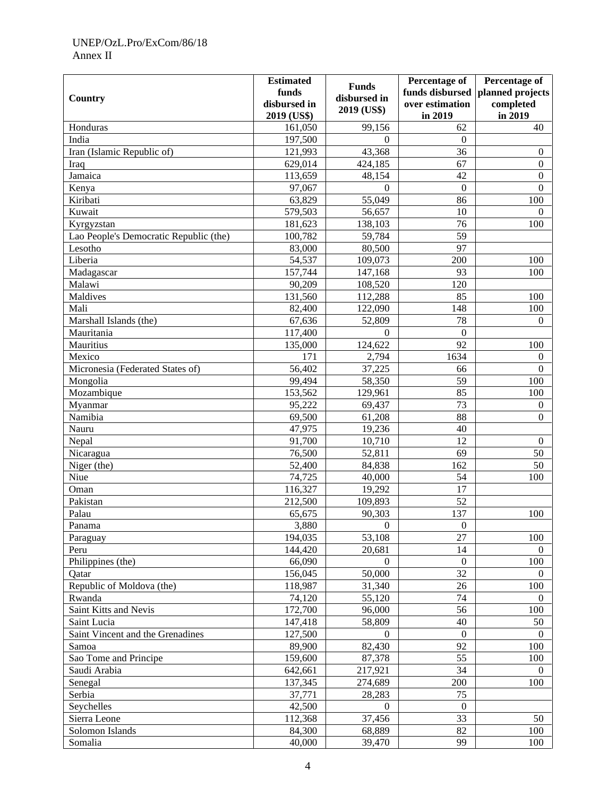## UNEP/OzL.Pro/ExCom/86/18 Annex II

|                                        | <b>Estimated</b> |                  | Percentage of    | Percentage of    |
|----------------------------------------|------------------|------------------|------------------|------------------|
|                                        | funds            | <b>Funds</b>     | funds disbursed  | planned projects |
| Country                                | disbursed in     | disbursed in     | over estimation  | completed        |
|                                        | 2019 (US\$)      | 2019 (US\$)      | in 2019          | in 2019          |
| Honduras                               | 161,050          | 99,156           | 62               | 40               |
| India                                  | 197,500          | $\Omega$         | $\boldsymbol{0}$ |                  |
| Iran (Islamic Republic of)             | 121,993          | 43,368           | 36               | $\boldsymbol{0}$ |
| Iraq                                   | 629,014          | 424,185          | 67               | $\boldsymbol{0}$ |
| Jamaica                                | 113,659          | 48,154           | 42               | $\boldsymbol{0}$ |
| Kenya                                  | 97,067           | $\theta$         | $\mathbf{0}$     | $\boldsymbol{0}$ |
| Kiribati                               | 63,829           | 55,049           | 86               | 100              |
| Kuwait                                 | 579,503          | 56,657           | 10               | $\Omega$         |
| Kyrgyzstan                             | 181,623          | 138,103          | 76               | 100              |
| Lao People's Democratic Republic (the) | 100,782          | 59,784           | 59               |                  |
| Lesotho                                | 83,000           | 80,500           | 97               |                  |
| Liberia                                | 54,537           | 109,073          | 200              | 100              |
| Madagascar                             | 157,744          | 147,168          | 93               | 100              |
| Malawi                                 | 90,209           | 108,520          | 120              |                  |
| Maldives                               | 131,560          | 112,288          | 85               | 100              |
| Mali                                   | 82,400           | 122,090          | 148              |                  |
|                                        |                  |                  |                  | 100              |
| Marshall Islands (the)                 | 67,636           | 52,809           | 78               | $\Omega$         |
| Mauritania                             | 117,400          | $\boldsymbol{0}$ | $\boldsymbol{0}$ |                  |
| Mauritius                              | 135,000          | 124,622          | 92               | 100              |
| Mexico                                 | 171              | 2,794            | 1634             | $\overline{0}$   |
| Micronesia (Federated States of)       | 56,402           | 37,225           | 66               | $\boldsymbol{0}$ |
| Mongolia                               | 99,494           | 58,350           | 59               | 100              |
| Mozambique                             | 153,562          | 129,961          | 85               | 100              |
| Myanmar                                | 95,222           | 69,437           | 73               | $\boldsymbol{0}$ |
| Namibia                                | 69,500           | 61,208           | 88               | $\boldsymbol{0}$ |
| Nauru                                  | 47,975           | 19,236           | 40               |                  |
| Nepal                                  | 91,700           | 10,710           | 12               | $\overline{0}$   |
| Nicaragua                              | 76,500           | 52,811           | 69               | 50               |
| Niger (the)                            | 52,400           | 84,838           | 162              | 50               |
| Niue                                   | 74,725           | 40,000           | 54               | 100              |
| Oman                                   | 116,327          | 19,292           | 17               |                  |
| Pakistan                               | 212,500          | 109,893          | 52               |                  |
| Palau                                  | 65,675           | 90,303           | 137              | 100              |
| Panama                                 | 3,880            | $\boldsymbol{0}$ | $\boldsymbol{0}$ |                  |
| Paraguay                               | 194,035          | 53,108           | 27               | 100              |
| Peru                                   | 144,420          | 20,681           | 14               | $\Omega$         |
| Philippines (the)                      | 66,090           | $\mathbf{0}$     | $\boldsymbol{0}$ | 100              |
| Qatar                                  | 156,045          | 50,000           | $\overline{32}$  | $\Omega$         |
| Republic of Moldova (the)              | 118,987          | 31,340           | 26               | 100              |
| Rwanda                                 | 74,120           | 55,120           | 74               | $\Omega$         |
| Saint Kitts and Nevis                  | 172,700          | 96,000           | 56               | 100              |
| Saint Lucia                            | 147,418          | 58,809           | 40               | 50               |
| Saint Vincent and the Grenadines       | 127,500          | $\Omega$         | $\boldsymbol{0}$ | $\Omega$         |
| Samoa                                  | 89,900           | 82,430           | 92               | 100              |
| Sao Tome and Principe                  | 159,600          | 87,378           | 55               | 100              |
| Saudi Arabia                           | 642,661          | 217,921          | 34               | $\Omega$         |
| Senegal                                | 137,345          | 274,689          | 200              | 100              |
| Serbia                                 | 37,771           | 28,283           | 75               |                  |
| Seychelles                             | 42,500           | $\overline{0}$   | $\boldsymbol{0}$ |                  |
| Sierra Leone                           | 112,368          | 37,456           | 33               | 50               |
| Solomon Islands                        | 84,300           | 68,889           | 82               | 100              |
| Somalia                                | 40,000           | 39,470           | 99               | 100              |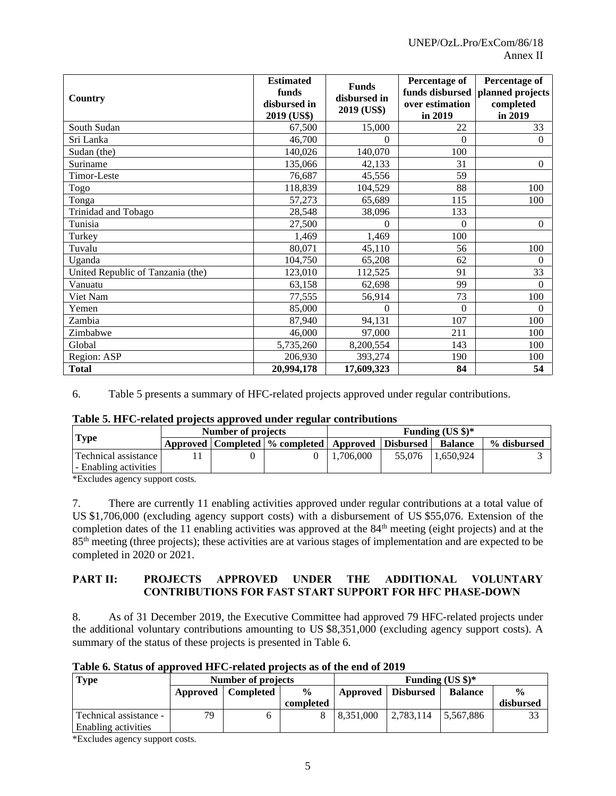| Country                           | <b>Estimated</b><br>funds<br>disbursed in<br>2019 (US\$) | <b>Funds</b><br>disbursed in<br>2019 (US\$) | Percentage of<br>over estimation<br>in 2019 | Percentage of<br>funds disbursed   planned projects<br>completed<br>in 2019 |
|-----------------------------------|----------------------------------------------------------|---------------------------------------------|---------------------------------------------|-----------------------------------------------------------------------------|
| South Sudan                       | 67,500                                                   | 15,000                                      | 22                                          | 33                                                                          |
| Sri Lanka                         | 46,700                                                   | $\Omega$                                    | $\theta$                                    | $\Omega$                                                                    |
| Sudan (the)                       | 140,026                                                  | 140,070                                     | 100                                         |                                                                             |
| Suriname                          | 135,066                                                  | 42,133                                      | 31                                          | $\Omega$                                                                    |
| <b>Timor-Leste</b>                | 76,687                                                   | 45,556                                      | 59                                          |                                                                             |
| Togo                              | 118,839                                                  | 104,529                                     | 88                                          | 100                                                                         |
| Tonga                             | 57,273                                                   | 65,689                                      | 115                                         | 100                                                                         |
| Trinidad and Tobago               | 28,548                                                   | 38,096                                      | 133                                         |                                                                             |
| Tunisia                           | 27,500                                                   | 0                                           | $\theta$                                    | $\Omega$                                                                    |
| Turkey                            | 1,469                                                    | 1,469                                       | 100                                         |                                                                             |
| Tuvalu                            | 80,071                                                   | 45,110                                      | 56                                          | 100                                                                         |
| Uganda                            | 104,750                                                  | 65,208                                      | 62                                          | $\theta$                                                                    |
| United Republic of Tanzania (the) | 123,010                                                  | 112,525                                     | 91                                          | 33                                                                          |
| Vanuatu                           | 63,158                                                   | 62,698                                      | 99                                          | $\Omega$                                                                    |
| Viet Nam                          | 77,555                                                   | 56,914                                      | 73                                          | 100                                                                         |
| Yemen                             | 85,000                                                   | $\theta$                                    | $\theta$                                    | $\Omega$                                                                    |
| Zambia                            | 87,940                                                   | 94,131                                      | 107                                         | 100                                                                         |
| Zimbabwe                          | 46,000                                                   | 97,000                                      | 211                                         | 100                                                                         |
| Global                            | 5,735,260                                                | 8,200,554                                   | 143                                         | 100                                                                         |
| Region: ASP                       | 206,930                                                  | 393,274                                     | 190                                         | 100                                                                         |
| <b>Total</b>                      | 20,994,178                                               | 17,609,323                                  | 84                                          | 54                                                                          |

6. Table 5 presents a summary of HFC-related projects approved under regular contributions.

#### **Table 5. HFC-related projects approved under regular contributions**

|                         | Number of projects |                                                           | Funding $(US \text{ } $)\text{*}$ |  |                  |             |
|-------------------------|--------------------|-----------------------------------------------------------|-----------------------------------|--|------------------|-------------|
| <b>Type</b>             |                    | Approved   Completed   % completed   Approved   Disbursed |                                   |  | <b>Balance</b>   | % disbursed |
| Technical assistance    |                    |                                                           | 1.706.000                         |  | 55,076 1.650,924 |             |
| l - Enabling activities |                    |                                                           |                                   |  |                  |             |

\*Excludes agency support costs.

7. There are currently 11 enabling activities approved under regular contributions at a total value of US \$1,706,000 (excluding agency support costs) with a disbursement of US \$55,076. Extension of the completion dates of the 11 enabling activities was approved at the 84<sup>th</sup> meeting (eight projects) and at the 85th meeting (three projects); these activities are at various stages of implementation and are expected to be completed in 2020 or 2021.

## **PART II: PROJECTS APPROVED UNDER THE ADDITIONAL VOLUNTARY CONTRIBUTIONS FOR FAST START SUPPORT FOR HFC PHASE-DOWN**

8. As of 31 December 2019, the Executive Committee had approved 79 HFC-related projects under the additional voluntary contributions amounting to US \$8,351,000 (excluding agency support costs). A summary of the status of these projects is presented in Table 6.

| <b>Type</b>            | Number of projects |                  |               |           | Funding (US $\frac{1}{2}$ )* |                |               |  |
|------------------------|--------------------|------------------|---------------|-----------|------------------------------|----------------|---------------|--|
|                        | Approved           | <b>Completed</b> | $\frac{0}{0}$ |           | Approved Disbursed           | <b>Balance</b> | $\frac{0}{0}$ |  |
|                        |                    |                  | completed     |           |                              |                | disbursed     |  |
| Technical assistance - | 79                 |                  |               | 8,351,000 | $ 2,783,114\rangle$          | 5,567,886      |               |  |
| Enabling activities    |                    |                  |               |           |                              |                |               |  |

**Table 6. Status of approved HFC-related projects as of the end of 2019**

\*Excludes agency support costs.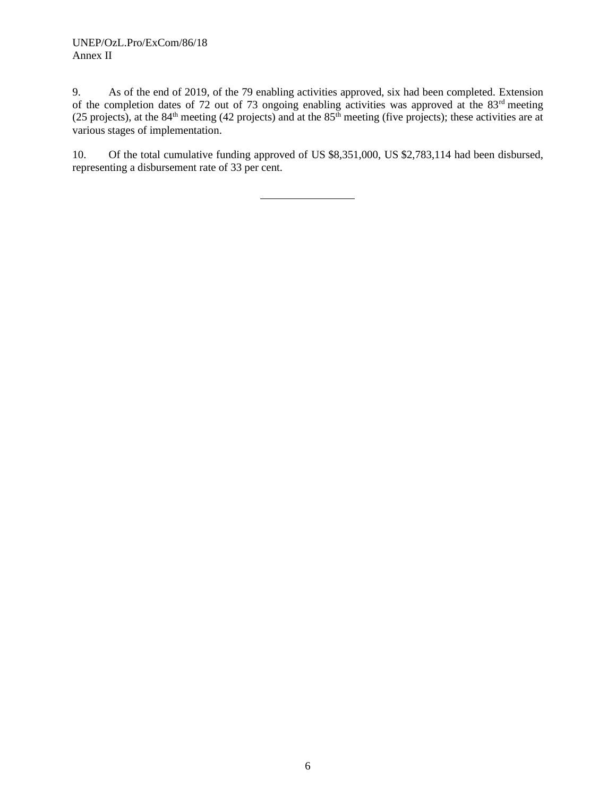## UNEP/OzL.Pro/ExCom/86/18 Annex II

9. As of the end of 2019, of the 79 enabling activities approved, six had been completed. Extension of the completion dates of 72 out of 73 ongoing enabling activities was approved at the 83<sup>rd</sup> meeting (25 projects), at the  $84<sup>th</sup>$  meeting (42 projects) and at the  $85<sup>th</sup>$  meeting (five projects); these activities are at various stages of implementation.

10. Of the total cumulative funding approved of US \$8,351,000, US \$2,783,114 had been disbursed, representing a disbursement rate of 33 per cent.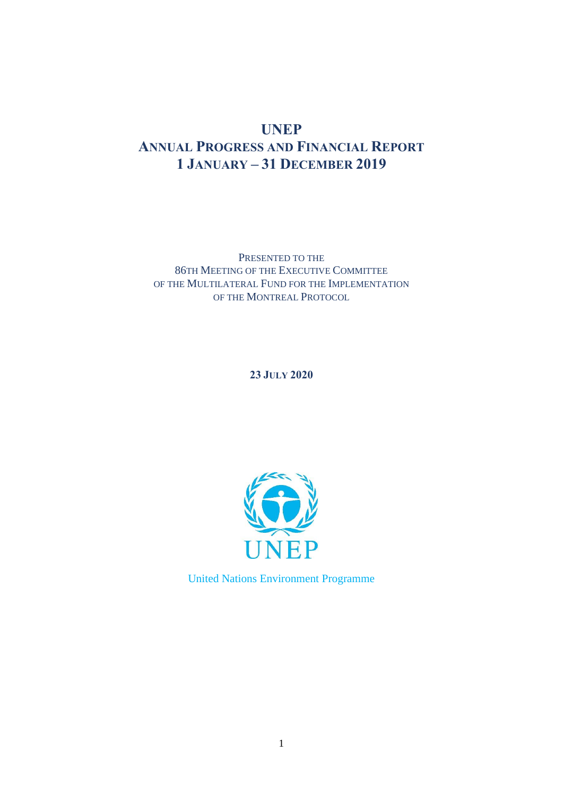## **UNEP ANNUAL PROGRESS AND FINANCIAL REPORT 1 JANUARY – 31 DECEMBER 2019**

PRESENTED TO THE 86TH MEETING OF THE EXECUTIVE COMMITTEE OF THE MULTILATERAL FUND FOR THE IMPLEMENTATION OF THE MONTREAL PROTOCOL

**23 JULY 2020**



United Nations Environment Programme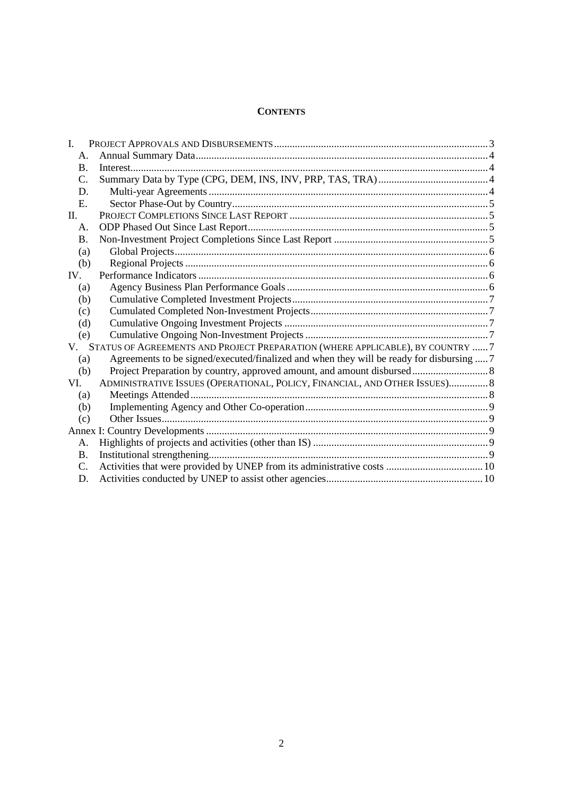## **CONTENTS**

| $\mathbf{I}$ . |                                                                                          |  |
|----------------|------------------------------------------------------------------------------------------|--|
| A.             |                                                                                          |  |
| $\mathbf{B}$ . |                                                                                          |  |
| C.             |                                                                                          |  |
| D.             |                                                                                          |  |
| Ε.             |                                                                                          |  |
| П.             |                                                                                          |  |
| A.             |                                                                                          |  |
| <b>B.</b>      |                                                                                          |  |
| (a)            |                                                                                          |  |
| (b)            |                                                                                          |  |
| IV.            |                                                                                          |  |
| (a)            |                                                                                          |  |
| (b)            |                                                                                          |  |
| (c)            |                                                                                          |  |
| (d)            |                                                                                          |  |
| (e)            |                                                                                          |  |
|                | V. STATUS OF AGREEMENTS AND PROJECT PREPARATION (WHERE APPLICABLE), BY COUNTRY  7        |  |
| (a)            | Agreements to be signed/executed/finalized and when they will be ready for disbursing  7 |  |
| (b)            |                                                                                          |  |
| VI.            | ADMINISTRATIVE ISSUES (OPERATIONAL, POLICY, FINANCIAL, AND OTHER ISSUES) 8               |  |
| (a)            |                                                                                          |  |
| (b)            |                                                                                          |  |
| (c)            |                                                                                          |  |
|                |                                                                                          |  |
| А.             |                                                                                          |  |
| Β.             |                                                                                          |  |
| C.             |                                                                                          |  |
| D.             |                                                                                          |  |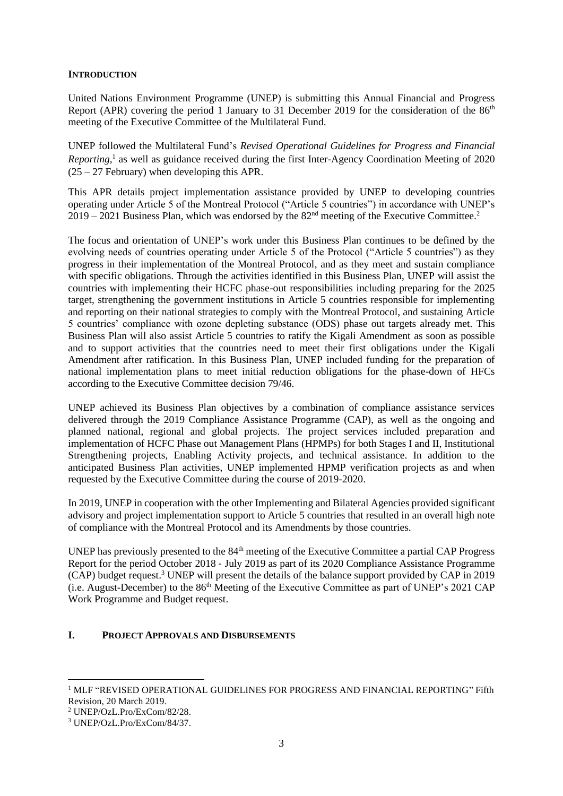## **INTRODUCTION**

United Nations Environment Programme (UNEP) is submitting this Annual Financial and Progress Report (APR) covering the period 1 January to 31 December 2019 for the consideration of the 86<sup>th</sup> meeting of the Executive Committee of the Multilateral Fund.

UNEP followed the Multilateral Fund's *Revised Operational Guidelines for Progress and Financial Reporting,* 1 as well as guidance received during the first Inter-Agency Coordination Meeting of 2020  $(25 - 27$  February) when developing this APR.

This APR details project implementation assistance provided by UNEP to developing countries operating under Article 5 of the Montreal Protocol ("Article 5 countries") in accordance with UNEP's  $2019 - 2021$  Business Plan, which was endorsed by the  $82<sup>nd</sup>$  meeting of the Executive Committee.<sup>2</sup>

The focus and orientation of UNEP's work under this Business Plan continues to be defined by the evolving needs of countries operating under Article 5 of the Protocol ("Article 5 countries") as they progress in their implementation of the Montreal Protocol, and as they meet and sustain compliance with specific obligations. Through the activities identified in this Business Plan, UNEP will assist the countries with implementing their HCFC phase-out responsibilities including preparing for the 2025 target, strengthening the government institutions in Article 5 countries responsible for implementing and reporting on their national strategies to comply with the Montreal Protocol, and sustaining Article 5 countries' compliance with ozone depleting substance (ODS) phase out targets already met. This Business Plan will also assist Article 5 countries to ratify the Kigali Amendment as soon as possible and to support activities that the countries need to meet their first obligations under the Kigali Amendment after ratification. In this Business Plan, UNEP included funding for the preparation of national implementation plans to meet initial reduction obligations for the phase-down of HFCs according to the Executive Committee decision 79/46.

UNEP achieved its Business Plan objectives by a combination of compliance assistance services delivered through the 2019 Compliance Assistance Programme (CAP), as well as the ongoing and planned national, regional and global projects. The project services included preparation and implementation of HCFC Phase out Management Plans (HPMPs) for both Stages I and II, Institutional Strengthening projects, Enabling Activity projects, and technical assistance. In addition to the anticipated Business Plan activities, UNEP implemented HPMP verification projects as and when requested by the Executive Committee during the course of 2019-2020.

In 2019, UNEP in cooperation with the other Implementing and Bilateral Agencies provided significant advisory and project implementation support to Article 5 countries that resulted in an overall high note of compliance with the Montreal Protocol and its Amendments by those countries.

UNEP has previously presented to the 84<sup>th</sup> meeting of the Executive Committee a partial CAP Progress Report for the period October 2018 ‐ July 2019 as part of its 2020 Compliance Assistance Programme (CAP) budget request.<sup>3</sup> UNEP will present the details of the balance support provided by CAP in 2019 (i.e. August-December) to the 86<sup>th</sup> Meeting of the Executive Committee as part of UNEP's 2021 CAP Work Programme and Budget request.

## <span id="page-22-0"></span>**I. PROJECT APPROVALS AND DISBURSEMENTS**

<sup>&</sup>lt;sup>1</sup> MLF "REVISED OPERATIONAL GUIDELINES FOR PROGRESS AND FINANCIAL REPORTING" Fifth Revision, 20 March 2019.

<sup>2</sup> UNEP/OzL.Pro/ExCom/82/28.

<sup>3</sup> UNEP/OzL.Pro/ExCom/84/37.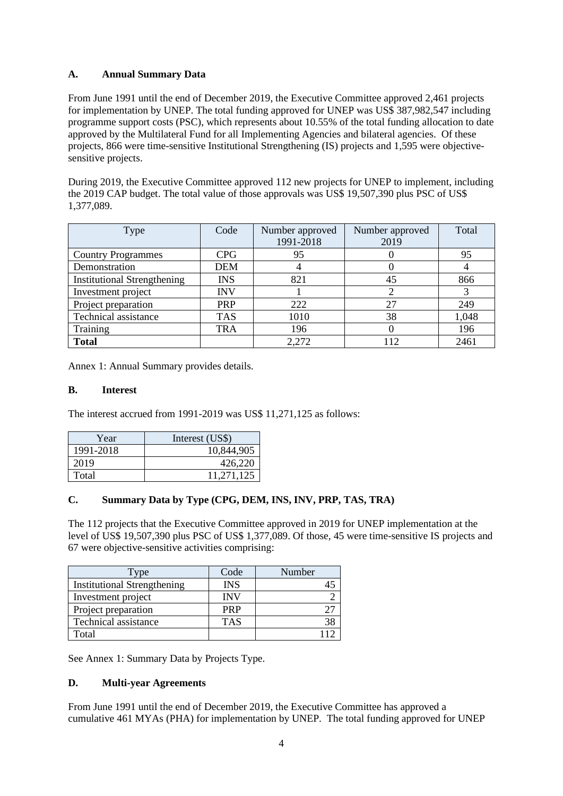## <span id="page-23-0"></span>**A. Annual Summary Data**

From June 1991 until the end of December 2019, the Executive Committee approved 2,461 projects for implementation by UNEP. The total funding approved for UNEP was US\$ 387,982,547 including programme support costs (PSC), which represents about 10.55% of the total funding allocation to date approved by the Multilateral Fund for all Implementing Agencies and bilateral agencies. Of these projects, 866 were time-sensitive Institutional Strengthening (IS) projects and 1,595 were objectivesensitive projects.

During 2019, the Executive Committee approved 112 new projects for UNEP to implement, including the 2019 CAP budget. The total value of those approvals was US\$ 19,507,390 plus PSC of US\$ 1,377,089.

| <b>Type</b>                        | Code       | Number approved<br>1991-2018 | Number approved<br>2019 | Total |
|------------------------------------|------------|------------------------------|-------------------------|-------|
| <b>Country Programmes</b>          | <b>CPG</b> | 95                           |                         | 95    |
| Demonstration                      | <b>DEM</b> | 4                            |                         |       |
| <b>Institutional Strengthening</b> | <b>INS</b> | 821                          | 45                      | 866   |
| Investment project                 | <b>INV</b> |                              |                         |       |
| Project preparation                | <b>PRP</b> | 222                          | 27                      | 249   |
| Technical assistance               | <b>TAS</b> | 1010                         | 38                      | 1,048 |
| Training                           | <b>TRA</b> | 196                          |                         | 196   |
| <b>Total</b>                       |            | 2,272                        | 112                     | 2461  |

Annex 1: Annual Summary provides details.

## <span id="page-23-1"></span>**B. Interest**

The interest accrued from 1991-2019 was US\$ 11,271,125 as follows:

| Year      | Interest (US\$) |
|-----------|-----------------|
| 1991-2018 | 10,844,905      |
| 2019      | 426,220         |
| Total     | 11,271,125      |

## <span id="page-23-2"></span>**C. Summary Data by Type (CPG, DEM, INS, INV, PRP, TAS, TRA)**

The 112 projects that the Executive Committee approved in 2019 for UNEP implementation at the level of US\$ 19,507,390 plus PSC of US\$ 1,377,089. Of those, 45 were time-sensitive IS projects and 67 were objective-sensitive activities comprising:

| l'ype                              | Code       | Number |
|------------------------------------|------------|--------|
| <b>Institutional Strengthening</b> | <b>INS</b> |        |
| Investment project                 | <b>INV</b> |        |
| Project preparation                | <b>PRP</b> |        |
| Technical assistance               | <b>TAS</b> |        |
| Total                              |            |        |

See Annex 1: Summary Data by Projects Type.

## <span id="page-23-3"></span>**D. Multi-year Agreements**

From June 1991 until the end of December 2019, the Executive Committee has approved a cumulative 461 MYAs (PHA) for implementation by UNEP. The total funding approved for UNEP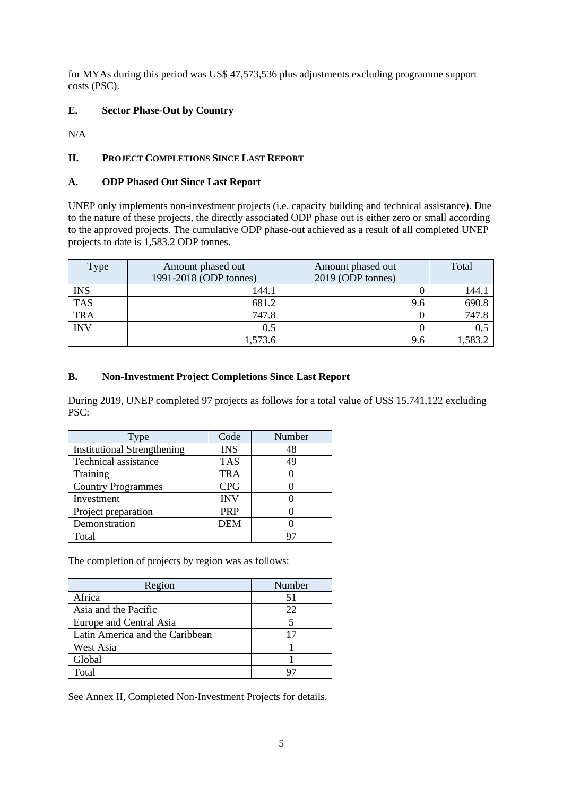for MYAs during this period was US\$ 47,573,536 plus adjustments excluding programme support costs (PSC).

## <span id="page-24-0"></span>**E. Sector Phase-Out by Country**

N/A

## <span id="page-24-1"></span>**II. PROJECT COMPLETIONS SINCE LAST REPORT**

## <span id="page-24-2"></span>**A. ODP Phased Out Since Last Report**

UNEP only implements non-investment projects (i.e. capacity building and technical assistance). Due to the nature of these projects, the directly associated ODP phase out is either zero or small according to the approved projects. The cumulative ODP phase-out achieved as a result of all completed UNEP projects to date is 1,583.2 ODP tonnes.

| Type       | Amount phased out<br>1991-2018 (ODP tonnes) | Amount phased out<br>2019 (ODP tonnes) | Total   |
|------------|---------------------------------------------|----------------------------------------|---------|
| <b>INS</b> | 144.1                                       |                                        | .44.    |
| <b>TAS</b> | 681.2                                       | 9.6                                    | 690.8   |
| <b>TRA</b> | 747.8                                       |                                        | 747.8   |
| <b>INV</b> | 0.5                                         | 0                                      | 0.5     |
|            | 1,573.6                                     | 9.6                                    | 1,583.2 |

## <span id="page-24-3"></span>**B. Non-Investment Project Completions Since Last Report**

During 2019, UNEP completed 97 projects as follows for a total value of US\$ 15,741,122 excluding PSC:

| Type                               | Code       | Number |
|------------------------------------|------------|--------|
| <b>Institutional Strengthening</b> | <b>INS</b> | 48     |
| Technical assistance               | <b>TAS</b> | 49     |
| Training                           | <b>TRA</b> |        |
| <b>Country Programmes</b>          | <b>CPG</b> |        |
| Investment                         | <b>INV</b> |        |
| Project preparation                | <b>PRP</b> |        |
| Demonstration                      | <b>DEM</b> |        |
| Total                              |            |        |

The completion of projects by region was as follows:

| Region                          | Number |
|---------------------------------|--------|
| Africa                          | 51     |
| Asia and the Pacific            | 22     |
| Europe and Central Asia         |        |
| Latin America and the Caribbean | 17     |
| West Asia                       |        |
| Global                          |        |
| Total                           |        |

See Annex II, Completed Non-Investment Projects for details.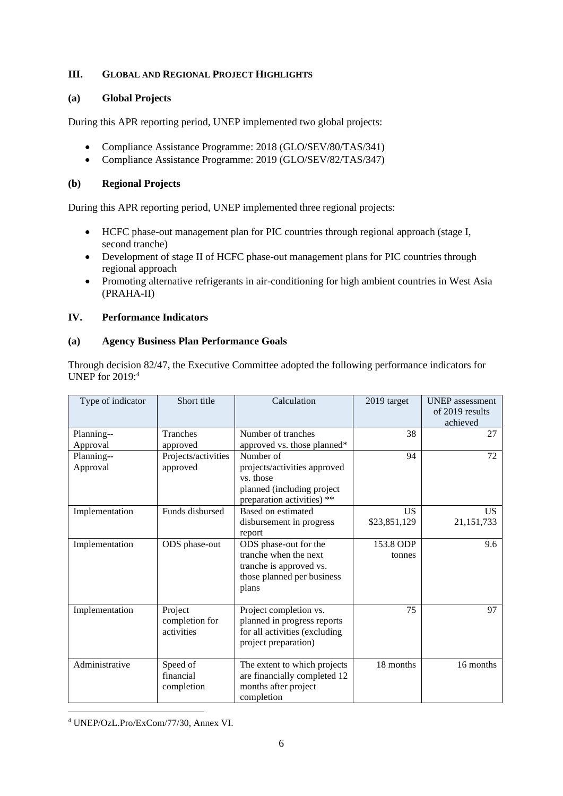## **III. GLOBAL AND REGIONAL PROJECT HIGHLIGHTS**

## <span id="page-25-0"></span>**(a) Global Projects**

During this APR reporting period, UNEP implemented two global projects:

- Compliance Assistance Programme: 2018 (GLO/SEV/80/TAS/341)
- Compliance Assistance Programme: 2019 (GLO/SEV/82/TAS/347)

## <span id="page-25-1"></span>**(b) Regional Projects**

During this APR reporting period, UNEP implemented three regional projects:

- HCFC phase-out management plan for PIC countries through regional approach (stage I, second tranche)
- Development of stage II of HCFC phase-out management plans for PIC countries through regional approach
- Promoting alternative refrigerants in air-conditioning for high ambient countries in West Asia (PRAHA-II)

## <span id="page-25-2"></span>**IV. Performance Indicators**

## <span id="page-25-3"></span>**(a) Agency Business Plan Performance Goals**

Through decision 82/47, the Executive Committee adopted the following performance indicators for UNEP for 2019: 4

| Type of indicator      | Short title                             | Calculation                                                                                                        | 2019 target               | <b>UNEP</b> assessment<br>of 2019 results<br>achieved |
|------------------------|-----------------------------------------|--------------------------------------------------------------------------------------------------------------------|---------------------------|-------------------------------------------------------|
| Planning--<br>Approval | <b>Tranches</b><br>approved             | Number of tranches<br>approved vs. those planned*                                                                  | 38                        | 27                                                    |
| Planning--<br>Approval | Projects/activities<br>approved         | Number of<br>projects/activities approved<br>vs. those<br>planned (including project<br>preparation activities) ** | 94                        | 72                                                    |
| Implementation         | Funds disbursed                         | Based on estimated<br>disbursement in progress<br>report                                                           | <b>US</b><br>\$23,851,129 | US.<br>21, 151, 733                                   |
| Implementation         | ODS phase-out                           | ODS phase-out for the<br>tranche when the next<br>tranche is approved vs.<br>those planned per business<br>plans   | 153.8 ODP<br>tonnes       | 9.6                                                   |
| Implementation         | Project<br>completion for<br>activities | Project completion vs.<br>planned in progress reports<br>for all activities (excluding<br>project preparation)     | 75                        | 97                                                    |
| Administrative         | Speed of<br>financial<br>completion     | The extent to which projects<br>are financially completed 12<br>months after project<br>completion                 | 18 months                 | 16 months                                             |

<sup>4</sup> UNEP/OzL.Pro/ExCom/77/30, Annex VI.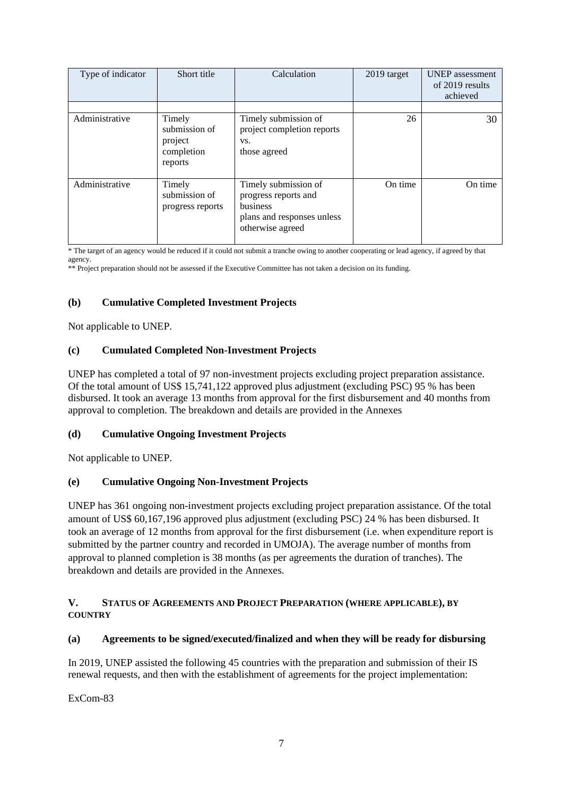| Type of indicator | Short title                                                 | Calculation                                                                                                | $2019$ target | <b>UNEP</b> assessment<br>of 2019 results<br>achieved |
|-------------------|-------------------------------------------------------------|------------------------------------------------------------------------------------------------------------|---------------|-------------------------------------------------------|
|                   |                                                             |                                                                                                            |               |                                                       |
| Administrative    | Timely<br>submission of<br>project<br>completion<br>reports | Timely submission of<br>project completion reports<br>VS.<br>those agreed                                  | 26            | 30                                                    |
| Administrative    | Timely<br>submission of<br>progress reports                 | Timely submission of<br>progress reports and<br>business<br>plans and responses unless<br>otherwise agreed | On time       | On time                                               |

<span id="page-26-0"></span>\* The target of an agency would be reduced if it could not submit a tranche owing to another cooperating or lead agency, if agreed by that agency.

\*\* Project preparation should not be assessed if the Executive Committee has not taken a decision on its funding.

## **(b) Cumulative Completed Investment Projects**

Not applicable to UNEP.

## <span id="page-26-1"></span>**(c) Cumulated Completed Non-Investment Projects**

UNEP has completed a total of 97 non-investment projects excluding project preparation assistance. Of the total amount of US\$ 15,741,122 approved plus adjustment (excluding PSC) 95 % has been disbursed. It took an average 13 months from approval for the first disbursement and 40 months from approval to completion. The breakdown and details are provided in the Annexes

## <span id="page-26-2"></span>**(d) Cumulative Ongoing Investment Projects**

Not applicable to UNEP.

## <span id="page-26-3"></span>**(e) Cumulative Ongoing Non-Investment Projects**

UNEP has 361 ongoing non-investment projects excluding project preparation assistance. Of the total amount of US\$ 60,167,196 approved plus adjustment (excluding PSC) 24 % has been disbursed. It took an average of 12 months from approval for the first disbursement (i.e. when expenditure report is submitted by the partner country and recorded in UMOJA). The average number of months from approval to planned completion is 38 months (as per agreements the duration of tranches). The breakdown and details are provided in the Annexes.

## <span id="page-26-4"></span>**V. STATUS OF AGREEMENTS AND PROJECT PREPARATION (WHERE APPLICABLE), BY COUNTRY**

## <span id="page-26-5"></span>**(a) Agreements to be signed/executed/finalized and when they will be ready for disbursing**

In 2019, UNEP assisted the following 45 countries with the preparation and submission of their IS renewal requests, and then with the establishment of agreements for the project implementation:

ExCom-83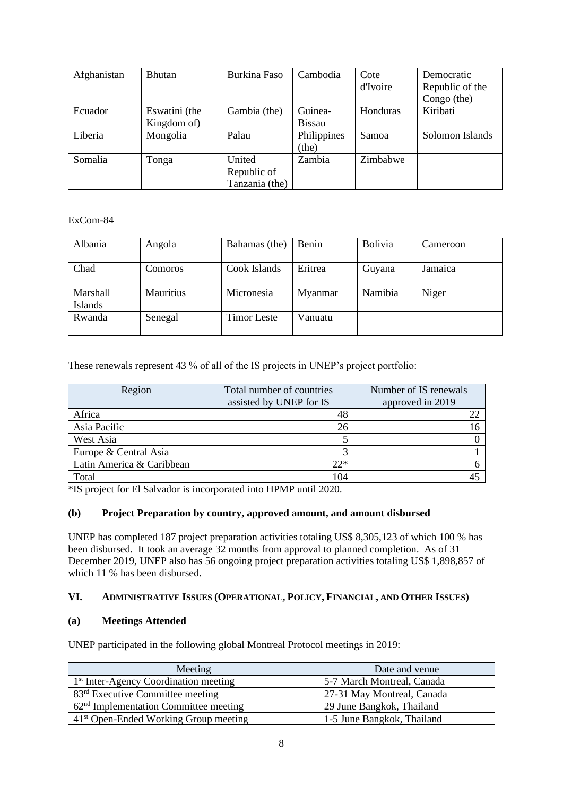| Afghanistan | <b>Bhutan</b>                | Burkina Faso                            | Cambodia                 | Cote<br>d'Ivoire | Democratic<br>Republic of the<br>Congo (the) |
|-------------|------------------------------|-----------------------------------------|--------------------------|------------------|----------------------------------------------|
| Ecuador     | Eswatini (the<br>Kingdom of) | Gambia (the)                            | Guinea-<br><b>Bissau</b> | Honduras         | Kiribati                                     |
| Liberia     | Mongolia                     | Palau                                   | Philippines<br>(the)     | Samoa            | Solomon Islands                              |
| Somalia     | Tonga                        | United<br>Republic of<br>Tanzania (the) | Zambia                   | Zimbabwe         |                                              |

## ExCom-84

| Albania         | Angola           | Bahamas (the) | Benin   | <b>Bolivia</b> | Cameroon |
|-----------------|------------------|---------------|---------|----------------|----------|
|                 |                  |               |         |                |          |
| Chad            | Comoros          | Cook Islands  | Eritrea | Guyana         | Jamaica  |
|                 |                  |               |         |                |          |
| <b>Marshall</b> | <b>Mauritius</b> | Micronesia    | Myanmar | Namibia        | Niger    |
| Islands         |                  |               |         |                |          |
| Rwanda          | Senegal          | Timor Leste   | Vanuatu |                |          |
|                 |                  |               |         |                |          |

These renewals represent 43 % of all of the IS projects in UNEP's project portfolio:

| Region                    | Total number of countries<br>assisted by UNEP for IS | Number of IS renewals<br>approved in 2019 |
|---------------------------|------------------------------------------------------|-------------------------------------------|
| Africa                    | 48                                                   |                                           |
| Asia Pacific              | 26                                                   |                                           |
| West Asia                 |                                                      |                                           |
| Europe & Central Asia     |                                                      |                                           |
| Latin America & Caribbean | $22*$                                                |                                           |
| Total                     | 104                                                  |                                           |

\*IS project for El Salvador is incorporated into HPMP until 2020.

## <span id="page-27-0"></span>**(b) Project Preparation by country, approved amount, and amount disbursed**

UNEP has completed 187 project preparation activities totaling US\$ 8,305,123 of which 100 % has been disbursed. It took an average 32 months from approval to planned completion. As of 31 December 2019, UNEP also has 56 ongoing project preparation activities totaling US\$ 1,898,857 of which 11 % has been disbursed.

## <span id="page-27-1"></span>**VI. ADMINISTRATIVE ISSUES (OPERATIONAL, POLICY, FINANCIAL, AND OTHER ISSUES)**

## <span id="page-27-2"></span>**(a) Meetings Attended**

UNEP participated in the following global Montreal Protocol meetings in 2019:

| Meeting                                           | Date and venue             |
|---------------------------------------------------|----------------------------|
| 1 <sup>st</sup> Inter-Agency Coordination meeting | 5-7 March Montreal, Canada |
| 83 <sup>rd</sup> Executive Committee meeting      | 27-31 May Montreal, Canada |
| $62nd$ Implementation Committee meeting           | 29 June Bangkok, Thailand  |
| 41 <sup>st</sup> Open-Ended Working Group meeting | 1-5 June Bangkok, Thailand |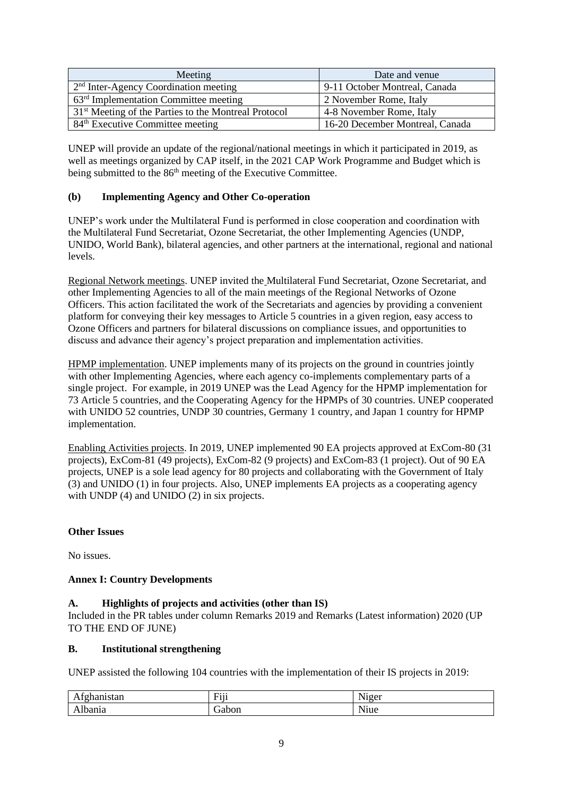| Meeting                                                          | Date and venue                  |
|------------------------------------------------------------------|---------------------------------|
| <sup>2nd</sup> Inter-Agency Coordination meeting                 | 9-11 October Montreal, Canada   |
| $63rd$ Implementation Committee meeting                          | 2 November Rome, Italy          |
| 31 <sup>st</sup> Meeting of the Parties to the Montreal Protocol | 4-8 November Rome, Italy        |
| 84 <sup>th</sup> Executive Committee meeting                     | 16-20 December Montreal, Canada |

UNEP will provide an update of the regional/national meetings in which it participated in 2019, as well as meetings organized by CAP itself, in the 2021 CAP Work Programme and Budget which is being submitted to the 86<sup>th</sup> meeting of the Executive Committee.

## <span id="page-28-0"></span>**(b) Implementing Agency and Other Co-operation**

UNEP's work under the Multilateral Fund is performed in close cooperation and coordination with the Multilateral Fund Secretariat, Ozone Secretariat, the other Implementing Agencies (UNDP, UNIDO, World Bank), bilateral agencies, and other partners at the international, regional and national levels.

Regional Network meetings. UNEP invited the Multilateral Fund Secretariat, Ozone Secretariat, and other Implementing Agencies to all of the main meetings of the Regional Networks of Ozone Officers. This action facilitated the work of the Secretariats and agencies by providing a convenient platform for conveying their key messages to Article 5 countries in a given region, easy access to Ozone Officers and partners for bilateral discussions on compliance issues, and opportunities to discuss and advance their agency's project preparation and implementation activities.

HPMP implementation. UNEP implements many of its projects on the ground in countries jointly with other Implementing Agencies, where each agency co-implements complementary parts of a single project. For example, in 2019 UNEP was the Lead Agency for the HPMP implementation for 73 Article 5 countries, and the Cooperating Agency for the HPMPs of 30 countries. UNEP cooperated with UNIDO 52 countries, UNDP 30 countries, Germany 1 country, and Japan 1 country for HPMP implementation.

<span id="page-28-1"></span>Enabling Activities projects. In 2019, UNEP implemented 90 EA projects approved at ExCom-80 (31 projects), ExCom-81 (49 projects), ExCom-82 (9 projects) and ExCom-83 (1 project). Out of 90 EA projects, UNEP is a sole lead agency for 80 projects and collaborating with the Government of Italy (3) and UNIDO (1) in four projects. Also, UNEP implements EA projects as a cooperating agency with UNDP (4) and UNIDO (2) in six projects.

## **Other Issues**

No issues.

## <span id="page-28-2"></span>**Annex I: Country Developments**

## <span id="page-28-3"></span>**A. Highlights of projects and activities (other than IS)**

Included in the PR tables under column Remarks 2019 and Remarks (Latest information) 2020 (UP TO THE END OF JUNE)

## <span id="page-28-4"></span>**B. Institutional strengthening**

UNEP assisted the following 104 countries with the implementation of their IS projects in 2019:

| $\sim$<br>$0+0.32$<br>--<br>. | $\overline{\phantom{a}}$<br>H111<br><b>TTIT</b> | $\mathbf{v}$<br>J10er<br>ັ<br>. |
|-------------------------------|-------------------------------------------------|---------------------------------|
| <b>м.</b><br>Albania          | abon                                            | $\sim$<br>Niue                  |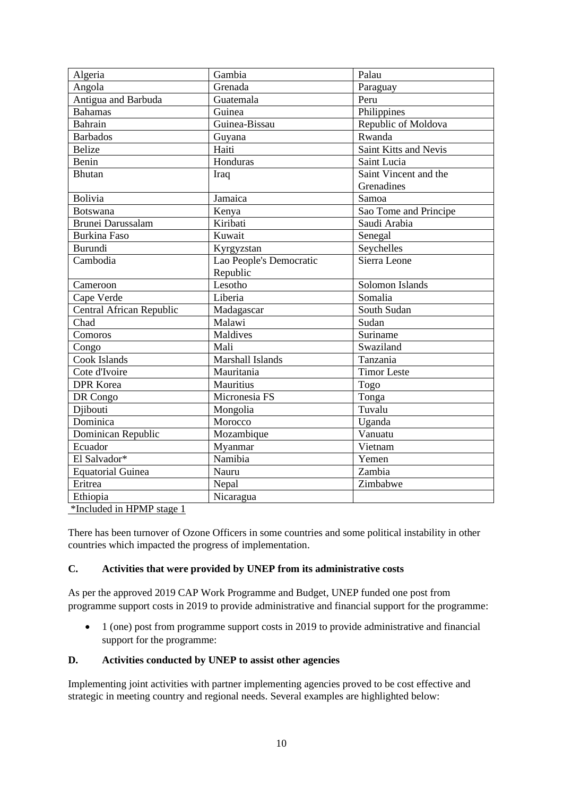| Algeria                  | Gambia                  | Palau                 |
|--------------------------|-------------------------|-----------------------|
| Angola                   | Grenada                 | Paraguay              |
| Antigua and Barbuda      | Guatemala               | Peru                  |
| <b>Bahamas</b>           | Guinea                  | Philippines           |
| <b>Bahrain</b>           | Guinea-Bissau           | Republic of Moldova   |
| <b>Barbados</b>          | Guyana                  | Rwanda                |
| <b>Belize</b>            | Haiti                   | Saint Kitts and Nevis |
| Benin                    | Honduras                | Saint Lucia           |
| <b>Bhutan</b>            | Iraq                    | Saint Vincent and the |
|                          |                         | Grenadines            |
| Bolivia                  | Jamaica                 | Samoa                 |
| <b>Botswana</b>          | Kenya                   | Sao Tome and Principe |
| <b>Brunei Darussalam</b> | Kiribati                | Saudi Arabia          |
| <b>Burkina Faso</b>      | Kuwait                  | Senegal               |
| <b>Burundi</b>           | Kyrgyzstan              | Seychelles            |
| Cambodia                 | Lao People's Democratic | Sierra Leone          |
|                          | Republic                |                       |
| Cameroon                 | Lesotho                 | Solomon Islands       |
| Cape Verde               | Liberia                 | Somalia               |
| Central African Republic | Madagascar              | South Sudan           |
| Chad                     | Malawi                  | Sudan                 |
| Comoros                  | Maldives                | Suriname              |
| Congo                    | Mali                    | Swaziland             |
| Cook Islands             | Marshall Islands        | Tanzania              |
| Cote d'Ivoire            | Mauritania              | <b>Timor Leste</b>    |
| <b>DPR</b> Korea         | Mauritius               | Togo                  |
| DR Congo                 | Micronesia FS           | Tonga                 |
| Diibouti                 | Mongolia                | Tuvalu                |
| Dominica                 | Morocco                 | Uganda                |
| Dominican Republic       | Mozambique              | Vanuatu               |
| Ecuador                  | Myanmar                 | Vietnam               |
| El Salvador*             | Namibia                 | Yemen                 |
| <b>Equatorial Guinea</b> | Nauru                   | Zambia                |
| Eritrea                  | Nepal                   | Zimbabwe              |
| Ethiopia                 | Nicaragua               |                       |

\*Included in HPMP stage 1

There has been turnover of Ozone Officers in some countries and some political instability in other countries which impacted the progress of implementation.

## <span id="page-29-0"></span>**C. Activities that were provided by UNEP from its administrative costs**

As per the approved 2019 CAP Work Programme and Budget, UNEP funded one post from programme support costs in 2019 to provide administrative and financial support for the programme:

• 1 (one) post from programme support costs in 2019 to provide administrative and financial support for the programme:

## <span id="page-29-1"></span>**D. Activities conducted by UNEP to assist other agencies**

Implementing joint activities with partner implementing agencies proved to be cost effective and strategic in meeting country and regional needs. Several examples are highlighted below: